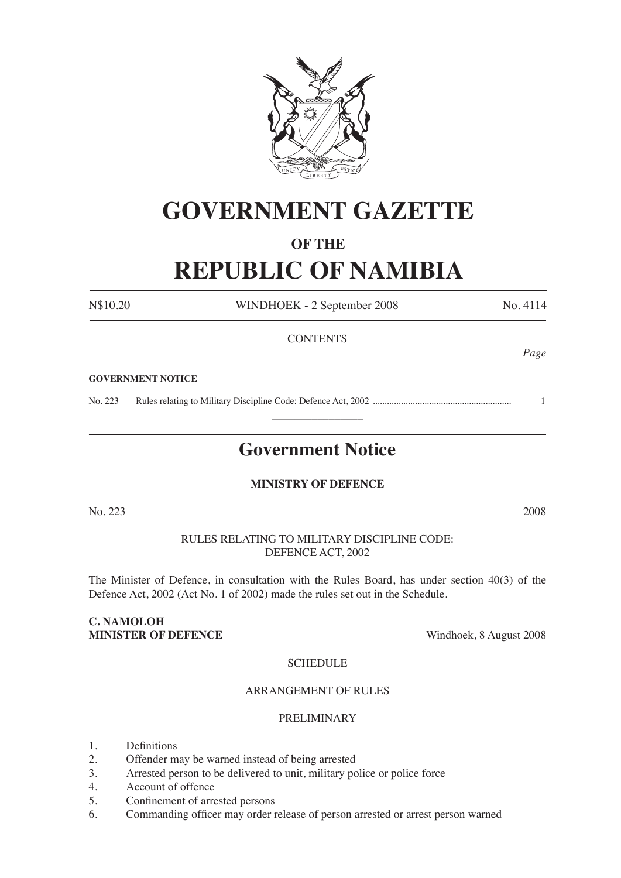

# **GOVERNMENT GAZETTE**

## **OF THE**

# **REPUBLIC OF NAMIBIA**

N\$10.20 WINDHOEK - 2 September 2008 No. 4114

## **CONTENTS**

#### **GOVERNMENT NOTICE**

No. 223 Rules relating to Military Discipline Code: Defence Act, 2002 ........................................................... 1  $\overline{\phantom{a}}$  , where  $\overline{\phantom{a}}$ 

## **Government Notice**

## **MINISTRY OF DEFENCE**

No. 223 2008

## RULES RELATING TO MILITARY DISCIPLINE CODE: DEFENCE ACT, 2002

The Minister of Defence, in consultation with the Rules Board, has under section 40(3) of the Defence Act, 2002 (Act No. 1 of 2002) made the rules set out in the Schedule.

## **C. NAMOLOH MINISTER OF DEFENCE** Windhoek, 8 August 2008

## **SCHEDULE**

#### ARRANGEMENT OF RULES

## PRELIMINARY

- 1. Definitions
- 2. Offender may be warned instead of being arrested
- 3. Arrested person to be delivered to unit, military police or police force
- 4. Account of offence
- 5. Confinement of arrested persons
- 6. Commanding officer may order release of person arrested or arrest person warned

*Page*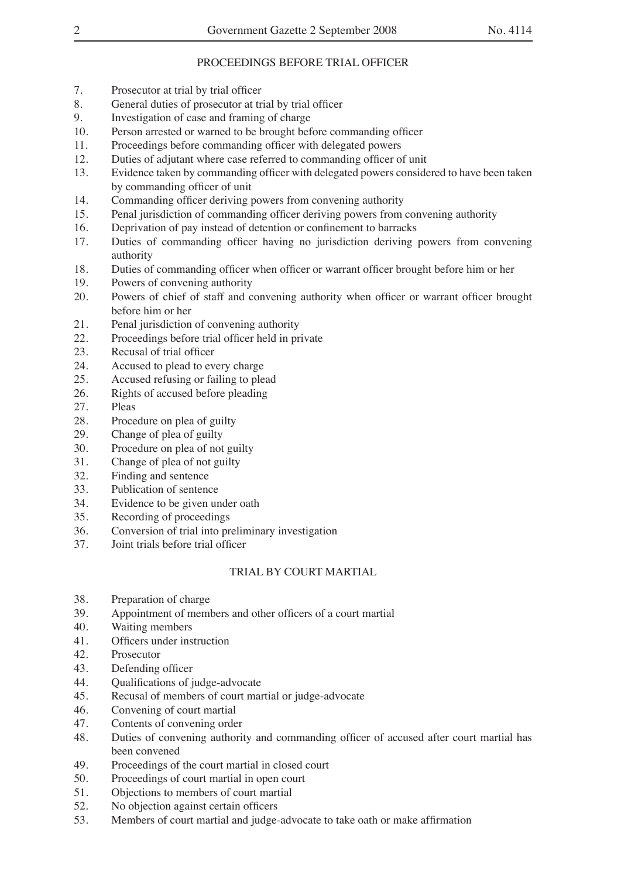## PROCEEDINGS BEFORE TRIAL OFFICER

- 7. Prosecutor at trial by trial officer
- 8. General duties of prosecutor at trial by trial officer
- 9. Investigation of case and framing of charge
- 10. Person arrested or warned to be brought before commanding officer
- 11. Proceedings before commanding officer with delegated powers
- 12. Duties of adjutant where case referred to commanding officer of unit
- 13. Evidence taken by commanding officer with delegated powers considered to have been taken by commanding officer of unit
- 14. Commanding officer deriving powers from convening authority
- 15. Penal jurisdiction of commanding officer deriving powers from convening authority
- 16. Deprivation of pay instead of detention or confinement to barracks
- 17. Duties of commanding officer having no jurisdiction deriving powers from convening authority
- 18. Duties of commanding officer when officer or warrant officer brought before him or her
- 19. Powers of convening authority
- 20. Powers of chief of staff and convening authority when officer or warrant officer brought before him or her
- 21. Penal jurisdiction of convening authority
- 22. Proceedings before trial officer held in private
- 23. Recusal of trial officer
- 24. Accused to plead to every charge
- 25. Accused refusing or failing to plead
- 26. Rights of accused before pleading
- 27. Pleas
- 28. Procedure on plea of guilty
- 29. Change of plea of guilty
- 30. Procedure on plea of not guilty
- 31. Change of plea of not guilty
- 32. Finding and sentence
- 33. Publication of sentence
- 34. Evidence to be given under oath
- 35. Recording of proceedings
- 36. Conversion of trial into preliminary investigation<br>37. Joint trials before trial officer
- Joint trials before trial officer

## TRIAL BY COURT MARTIAL

- 38. Preparation of charge
- 39. Appointment of members and other officers of a court martial
- 40. Waiting members
- 41. Officers under instruction
- 42. Prosecutor
- 43. Defending officer
- 44. Qualifications of judge-advocate
- 45. Recusal of members of court martial or judge-advocate
- 46. Convening of court martial
- 47. Contents of convening order
- 48. Duties of convening authority and commanding officer of accused after court martial has been convened
- 49. Proceedings of the court martial in closed court
- 50. Proceedings of court martial in open court
- 51. Objections to members of court martial
- 52. No objection against certain officers
- 53. Members of court martial and judge-advocate to take oath or make affirmation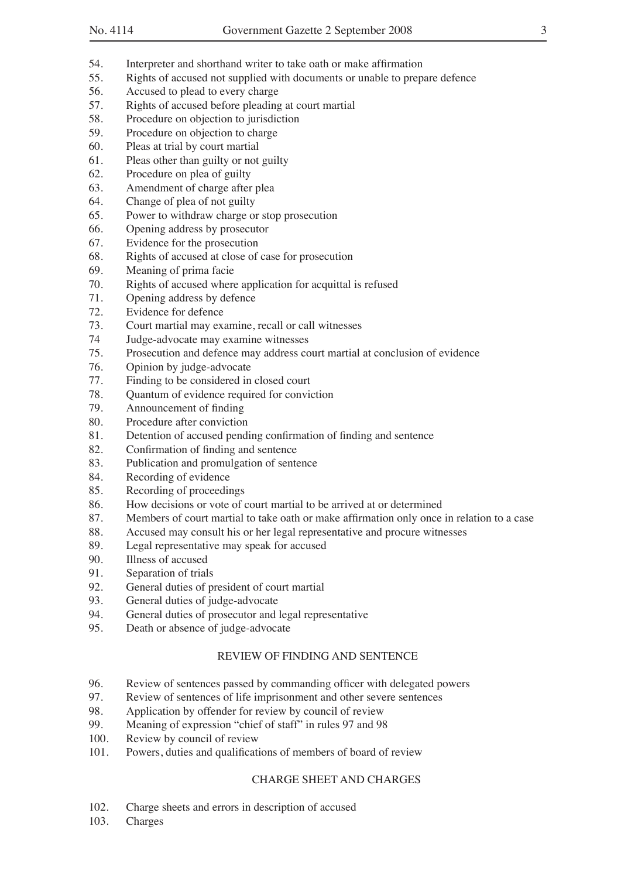- 54. Interpreter and shorthand writer to take oath or make affirmation
- 55. Rights of accused not supplied with documents or unable to prepare defence
- 56. Accused to plead to every charge
- 57. Rights of accused before pleading at court martial
- 58. Procedure on objection to jurisdiction
- 59. Procedure on objection to charge
- 60. Pleas at trial by court martial
- 61. Pleas other than guilty or not guilty
- 62. Procedure on plea of guilty
- 63. Amendment of charge after plea
- 64. Change of plea of not guilty
- 65. Power to withdraw charge or stop prosecution
- 66. Opening address by prosecutor
- 67. Evidence for the prosecution
- 68. Rights of accused at close of case for prosecution
- 69. Meaning of prima facie
- 70. Rights of accused where application for acquittal is refused
- 71. Opening address by defence
- 72. Evidence for defence
- 73. Court martial may examine, recall or call witnesses
- 74 Judge-advocate may examine witnesses
- 75. Prosecution and defence may address court martial at conclusion of evidence
- 76. Opinion by judge-advocate
- 77. Finding to be considered in closed court
- 78. Quantum of evidence required for conviction
- 79. Announcement of finding
- 80. Procedure after conviction
- 81. Detention of accused pending confirmation of finding and sentence
- 82. Confirmation of finding and sentence
- 83. Publication and promulgation of sentence
- 84. Recording of evidence
- 85. Recording of proceedings
- 86. How decisions or vote of court martial to be arrived at or determined
- 87. Members of court martial to take oath or make affirmation only once in relation to a case
- 88. Accused may consult his or her legal representative and procure witnesses
- 89. Legal representative may speak for accused
- 90. Illness of accused
- 91. Separation of trials
- 92. General duties of president of court martial
- 93. General duties of judge-advocate
- 94. General duties of prosecutor and legal representative
- 95. Death or absence of judge-advocate

## REVIEW OF FINDING AND SENTENCE

- 96. Review of sentences passed by commanding officer with delegated powers
- 97. Review of sentences of life imprisonment and other severe sentences
- 98. Application by offender for review by council of review
- 99. Meaning of expression "chief of staff" in rules 97 and 98
- 100. Review by council of review
- 101. Powers, duties and qualifications of members of board of review

## CHARGE SHEET AND CHARGES

- 102. Charge sheets and errors in description of accused
- 103. Charges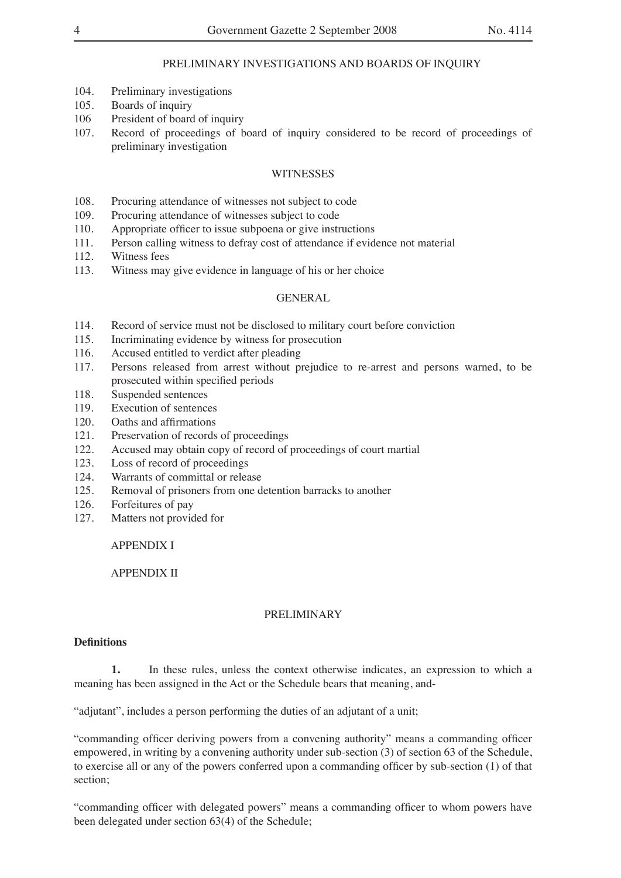## PRELIMINARY INVESTIGATIONS AND BOARDS OF INQUIRY

- 104. Preliminary investigations
- 105. Boards of inquiry
- 106 President of board of inquiry
- 107. Record of proceedings of board of inquiry considered to be record of proceedings of preliminary investigation

## **WITNESSES**

- 108. Procuring attendance of witnesses not subject to code
- 109. Procuring attendance of witnesses subject to code
- 110. Appropriate officer to issue subpoena or give instructions
- 111. Person calling witness to defray cost of attendance if evidence not material
- 112. Witness fees
- 113. Witness may give evidence in language of his or her choice

#### GENERAL

- 114. Record of service must not be disclosed to military court before conviction
- 115. Incriminating evidence by witness for prosecution
- 116. Accused entitled to verdict after pleading
- 117. Persons released from arrest without prejudice to re-arrest and persons warned, to be prosecuted within specified periods
- 118. Suspended sentences
- 119. Execution of sentences
- 120. Oaths and affirmations
- 121. Preservation of records of proceedings
- 122. Accused may obtain copy of record of proceedings of court martial
- 123. Loss of record of proceedings
- 124. Warrants of committal or release
- 125. Removal of prisoners from one detention barracks to another
- 126. Forfeitures of pay
- 127. Matters not provided for

APPENDIX I

APPENDIX II

#### PRELIMINARY

#### **Definitions**

**1.** In these rules, unless the context otherwise indicates, an expression to which a meaning has been assigned in the Act or the Schedule bears that meaning, and-

"adjutant", includes a person performing the duties of an adjutant of a unit;

"commanding officer deriving powers from a convening authority" means a commanding officer empowered, in writing by a convening authority under sub-section (3) of section 63 of the Schedule, to exercise all or any of the powers conferred upon a commanding officer by sub-section (1) of that section;

"commanding officer with delegated powers" means a commanding officer to whom powers have been delegated under section 63(4) of the Schedule;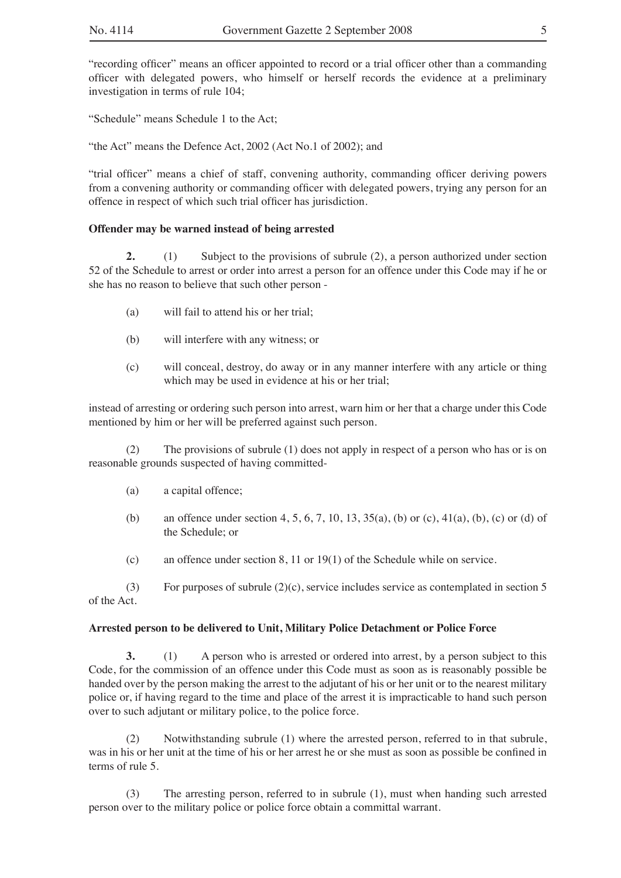"recording officer" means an officer appointed to record or a trial officer other than a commanding officer with delegated powers, who himself or herself records the evidence at a preliminary investigation in terms of rule 104;

"Schedule" means Schedule 1 to the Act;

"the Act" means the Defence Act, 2002 (Act No.1 of 2002); and

"trial officer" means a chief of staff, convening authority, commanding officer deriving powers from a convening authority or commanding officer with delegated powers, trying any person for an offence in respect of which such trial officer has jurisdiction.

#### **Offender may be warned instead of being arrested**

**2.** (1) Subject to the provisions of subrule (2), a person authorized under section 52 of the Schedule to arrest or order into arrest a person for an offence under this Code may if he or she has no reason to believe that such other person -

- (a) will fail to attend his or her trial;
- (b) will interfere with any witness; or
- (c) will conceal, destroy, do away or in any manner interfere with any article or thing which may be used in evidence at his or her trial;

instead of arresting or ordering such person into arrest, warn him or her that a charge under this Code mentioned by him or her will be preferred against such person.

(2) The provisions of subrule (1) does not apply in respect of a person who has or is on reasonable grounds suspected of having committed-

- (a) a capital offence;
- (b) an offence under section 4, 5, 6, 7, 10, 13, 35(a), (b) or (c), 41(a), (b), (c) or (d) of the Schedule; or
- (c) an offence under section 8, 11 or 19(1) of the Schedule while on service.

(3) For purposes of subrule  $(2)(c)$ , service includes service as contemplated in section 5 of the Act.

#### **Arrested person to be delivered to Unit, Military Police Detachment or Police Force**

**3.** (1) A person who is arrested or ordered into arrest, by a person subject to this Code, for the commission of an offence under this Code must as soon as is reasonably possible be handed over by the person making the arrest to the adjutant of his or her unit or to the nearest military police or, if having regard to the time and place of the arrest it is impracticable to hand such person over to such adjutant or military police, to the police force.

(2) Notwithstanding subrule (1) where the arrested person, referred to in that subrule, was in his or her unit at the time of his or her arrest he or she must as soon as possible be confined in terms of rule 5.

(3) The arresting person, referred to in subrule (1), must when handing such arrested person over to the military police or police force obtain a committal warrant.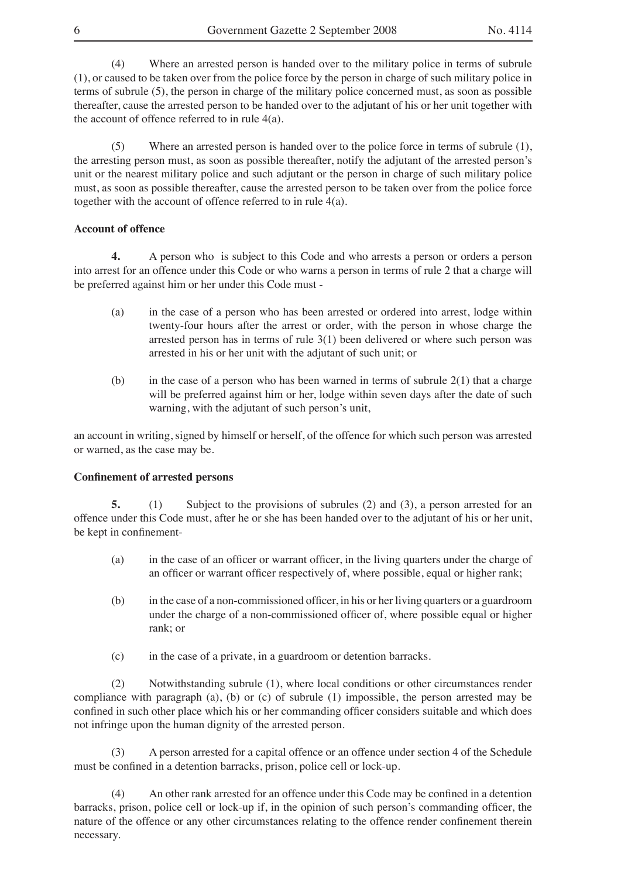(4) Where an arrested person is handed over to the military police in terms of subrule (1), or caused to be taken over from the police force by the person in charge of such military police in terms of subrule (5), the person in charge of the military police concerned must, as soon as possible thereafter, cause the arrested person to be handed over to the adjutant of his or her unit together with the account of offence referred to in rule 4(a).

(5) Where an arrested person is handed over to the police force in terms of subrule (1), the arresting person must, as soon as possible thereafter, notify the adjutant of the arrested person's unit or the nearest military police and such adjutant or the person in charge of such military police must, as soon as possible thereafter, cause the arrested person to be taken over from the police force together with the account of offence referred to in rule 4(a).

## **Account of offence**

**4.** A person who is subject to this Code and who arrests a person or orders a person into arrest for an offence under this Code or who warns a person in terms of rule 2 that a charge will be preferred against him or her under this Code must -

- (a) in the case of a person who has been arrested or ordered into arrest, lodge within twenty-four hours after the arrest or order, with the person in whose charge the arrested person has in terms of rule 3(1) been delivered or where such person was arrested in his or her unit with the adjutant of such unit; or
- (b) in the case of a person who has been warned in terms of subrule 2(1) that a charge will be preferred against him or her, lodge within seven days after the date of such warning, with the adjutant of such person's unit,

an account in writing, signed by himself or herself, of the offence for which such person was arrested or warned, as the case may be.

#### **Confinement of arrested persons**

**5.** (1) Subject to the provisions of subrules (2) and (3), a person arrested for an offence under this Code must, after he or she has been handed over to the adjutant of his or her unit, be kept in confinement-

- (a) in the case of an officer or warrant officer, in the living quarters under the charge of an officer or warrant officer respectively of, where possible, equal or higher rank;
- (b) in the case of a non-commissioned officer, in his or her living quarters or a guardroom under the charge of a non-commissioned officer of, where possible equal or higher rank; or
- (c) in the case of a private, in a guardroom or detention barracks.

(2) Notwithstanding subrule (1), where local conditions or other circumstances render compliance with paragraph (a), (b) or (c) of subrule (1) impossible, the person arrested may be confined in such other place which his or her commanding officer considers suitable and which does not infringe upon the human dignity of the arrested person.

(3) A person arrested for a capital offence or an offence under section 4 of the Schedule must be confined in a detention barracks, prison, police cell or lock-up.

(4) An other rank arrested for an offence under this Code may be confined in a detention barracks, prison, police cell or lock-up if, in the opinion of such person's commanding officer, the nature of the offence or any other circumstances relating to the offence render confinement therein necessary.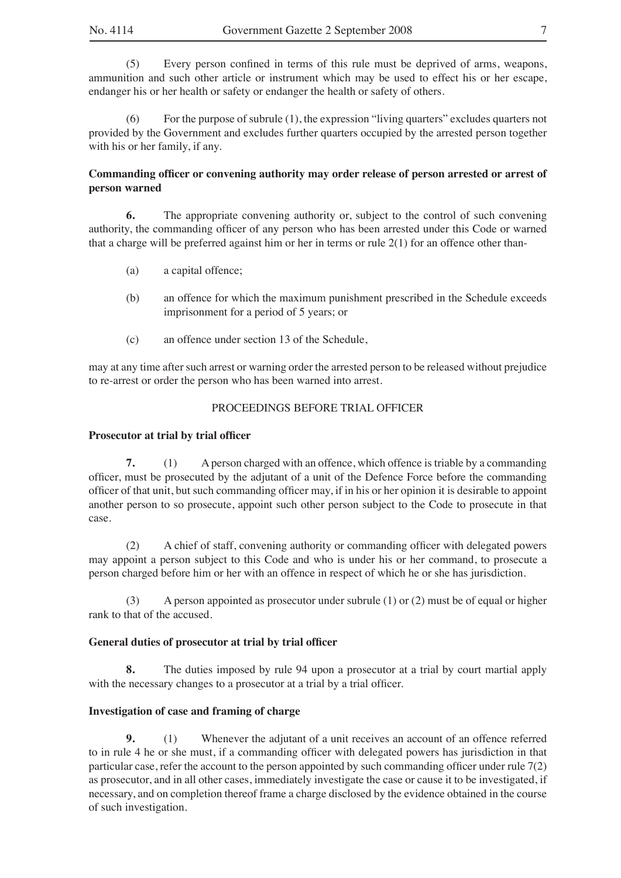(5) Every person confined in terms of this rule must be deprived of arms, weapons, ammunition and such other article or instrument which may be used to effect his or her escape, endanger his or her health or safety or endanger the health or safety of others.

(6) For the purpose of subrule (1), the expression "living quarters" excludes quarters not provided by the Government and excludes further quarters occupied by the arrested person together with his or her family, if any.

## **Commanding officer or convening authority may order release of person arrested or arrest of person warned**

**6.** The appropriate convening authority or, subject to the control of such convening authority, the commanding officer of any person who has been arrested under this Code or warned that a charge will be preferred against him or her in terms or rule  $2(1)$  for an offence other than-

- (a) a capital offence;
- (b) an offence for which the maximum punishment prescribed in the Schedule exceeds imprisonment for a period of 5 years; or
- (c) an offence under section 13 of the Schedule,

may at any time after such arrest or warning order the arrested person to be released without prejudice to re-arrest or order the person who has been warned into arrest.

## PROCEEDINGS BEFORE TRIAL OFFICER

## **Prosecutor at trial by trial officer**

**7.** (1) A person charged with an offence, which offence is triable by a commanding officer, must be prosecuted by the adjutant of a unit of the Defence Force before the commanding officer of that unit, but such commanding officer may, if in his or her opinion it is desirable to appoint another person to so prosecute, appoint such other person subject to the Code to prosecute in that case.

(2) A chief of staff, convening authority or commanding officer with delegated powers may appoint a person subject to this Code and who is under his or her command, to prosecute a person charged before him or her with an offence in respect of which he or she has jurisdiction.

(3) A person appointed as prosecutor under subrule (1) or (2) must be of equal or higher rank to that of the accused.

## **General duties of prosecutor at trial by trial officer**

**8.** The duties imposed by rule 94 upon a prosecutor at a trial by court martial apply with the necessary changes to a prosecutor at a trial by a trial officer.

## **Investigation of case and framing of charge**

**9.** (1) Whenever the adjutant of a unit receives an account of an offence referred to in rule 4 he or she must, if a commanding officer with delegated powers has jurisdiction in that particular case, refer the account to the person appointed by such commanding officer under rule 7(2) as prosecutor, and in all other cases, immediately investigate the case or cause it to be investigated, if necessary, and on completion thereof frame a charge disclosed by the evidence obtained in the course of such investigation.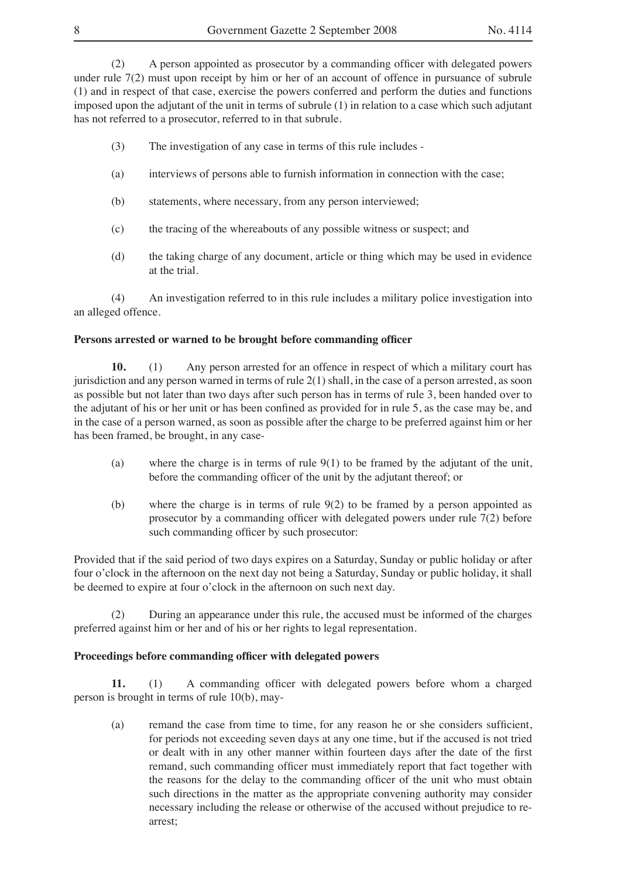(2) A person appointed as prosecutor by a commanding officer with delegated powers under rule 7(2) must upon receipt by him or her of an account of offence in pursuance of subrule (1) and in respect of that case, exercise the powers conferred and perform the duties and functions imposed upon the adjutant of the unit in terms of subrule (1) in relation to a case which such adjutant has not referred to a prosecutor, referred to in that subrule.

- (3) The investigation of any case in terms of this rule includes -
- (a) interviews of persons able to furnish information in connection with the case;
- (b) statements, where necessary, from any person interviewed;
- (c) the tracing of the whereabouts of any possible witness or suspect; and
- (d) the taking charge of any document, article or thing which may be used in evidence at the trial.

(4) An investigation referred to in this rule includes a military police investigation into an alleged offence.

## **Persons arrested or warned to be brought before commanding officer**

**10.** (1) Any person arrested for an offence in respect of which a military court has jurisdiction and any person warned in terms of rule 2(1) shall, in the case of a person arrested, as soon as possible but not later than two days after such person has in terms of rule 3, been handed over to the adjutant of his or her unit or has been confined as provided for in rule 5, as the case may be, and in the case of a person warned, as soon as possible after the charge to be preferred against him or her has been framed, be brought, in any case-

- (a) where the charge is in terms of rule 9(1) to be framed by the adjutant of the unit, before the commanding officer of the unit by the adjutant thereof; or
- (b) where the charge is in terms of rule 9(2) to be framed by a person appointed as prosecutor by a commanding officer with delegated powers under rule 7(2) before such commanding officer by such prosecutor:

Provided that if the said period of two days expires on a Saturday, Sunday or public holiday or after four o'clock in the afternoon on the next day not being a Saturday, Sunday or public holiday, it shall be deemed to expire at four o'clock in the afternoon on such next day.

(2) During an appearance under this rule, the accused must be informed of the charges preferred against him or her and of his or her rights to legal representation.

## **Proceedings before commanding officer with delegated powers**

**11.** (1) A commanding officer with delegated powers before whom a charged person is brought in terms of rule 10(b), may-

(a) remand the case from time to time, for any reason he or she considers sufficient, for periods not exceeding seven days at any one time, but if the accused is not tried or dealt with in any other manner within fourteen days after the date of the first remand, such commanding officer must immediately report that fact together with the reasons for the delay to the commanding officer of the unit who must obtain such directions in the matter as the appropriate convening authority may consider necessary including the release or otherwise of the accused without prejudice to rearrest;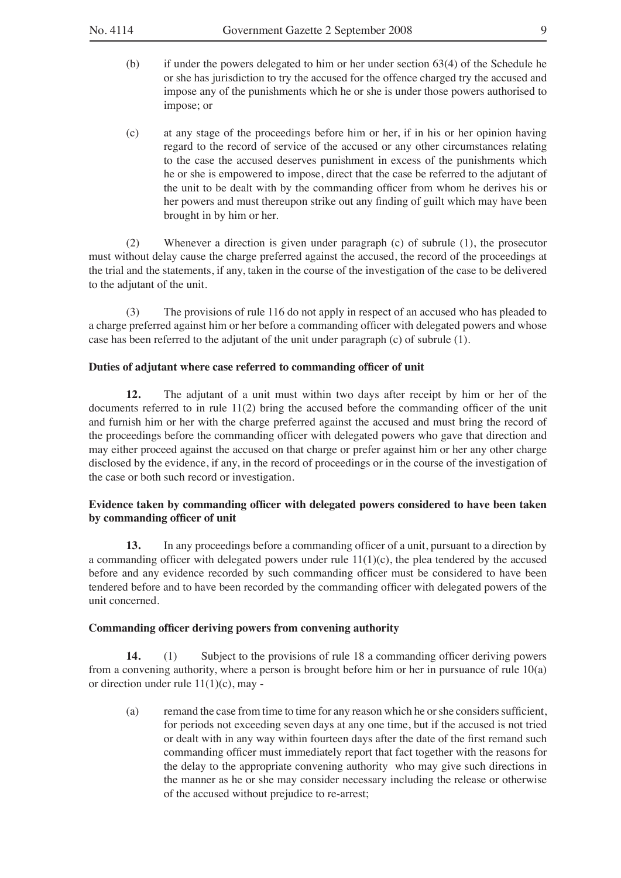- (b) if under the powers delegated to him or her under section 63(4) of the Schedule he or she has jurisdiction to try the accused for the offence charged try the accused and impose any of the punishments which he or she is under those powers authorised to impose; or
- (c) at any stage of the proceedings before him or her, if in his or her opinion having regard to the record of service of the accused or any other circumstances relating to the case the accused deserves punishment in excess of the punishments which he or she is empowered to impose, direct that the case be referred to the adjutant of the unit to be dealt with by the commanding officer from whom he derives his or her powers and must thereupon strike out any finding of guilt which may have been brought in by him or her.

(2) Whenever a direction is given under paragraph (c) of subrule (1), the prosecutor must without delay cause the charge preferred against the accused, the record of the proceedings at the trial and the statements, if any, taken in the course of the investigation of the case to be delivered to the adjutant of the unit.

(3) The provisions of rule 116 do not apply in respect of an accused who has pleaded to a charge preferred against him or her before a commanding officer with delegated powers and whose case has been referred to the adjutant of the unit under paragraph (c) of subrule (1).

#### **Duties of adjutant where case referred to commanding officer of unit**

**12.** The adjutant of a unit must within two days after receipt by him or her of the documents referred to in rule 11(2) bring the accused before the commanding officer of the unit and furnish him or her with the charge preferred against the accused and must bring the record of the proceedings before the commanding officer with delegated powers who gave that direction and may either proceed against the accused on that charge or prefer against him or her any other charge disclosed by the evidence, if any, in the record of proceedings or in the course of the investigation of the case or both such record or investigation.

## **Evidence taken by commanding officer with delegated powers considered to have been taken by commanding officer of unit**

**13.** In any proceedings before a commanding officer of a unit, pursuant to a direction by a commanding officer with delegated powers under rule  $11(1)(c)$ , the plea tendered by the accused before and any evidence recorded by such commanding officer must be considered to have been tendered before and to have been recorded by the commanding officer with delegated powers of the unit concerned.

#### **Commanding officer deriving powers from convening authority**

**14.** (1) Subject to the provisions of rule 18 a commanding officer deriving powers from a convening authority, where a person is brought before him or her in pursuance of rule 10(a) or direction under rule 11(1)(c), may -

(a) remand the case from time to time for any reason which he or she considers sufficient, for periods not exceeding seven days at any one time, but if the accused is not tried or dealt with in any way within fourteen days after the date of the first remand such commanding officer must immediately report that fact together with the reasons for the delay to the appropriate convening authority who may give such directions in the manner as he or she may consider necessary including the release or otherwise of the accused without prejudice to re-arrest;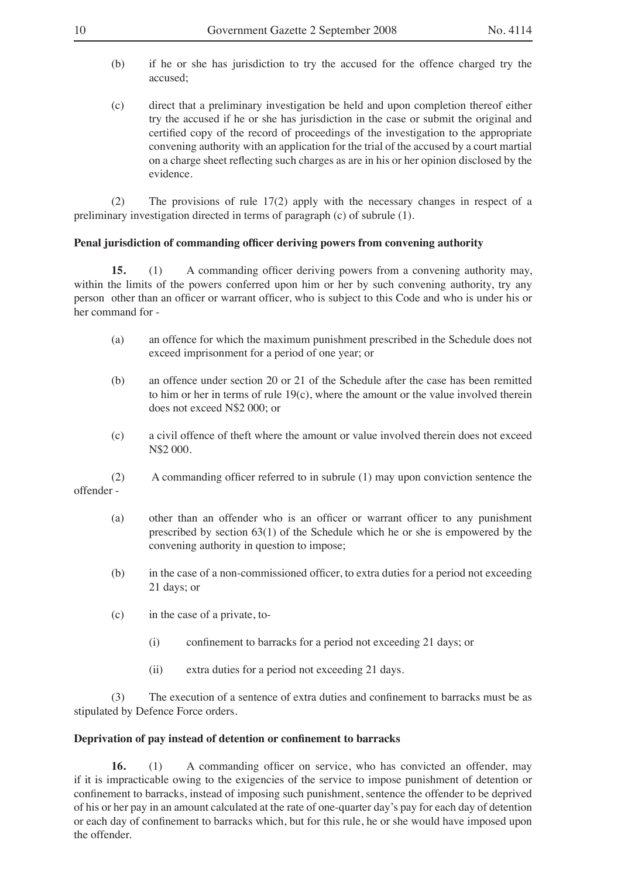- (b) if he or she has jurisdiction to try the accused for the offence charged try the accused;
- (c) direct that a preliminary investigation be held and upon completion thereof either try the accused if he or she has jurisdiction in the case or submit the original and certified copy of the record of proceedings of the investigation to the appropriate convening authority with an application for the trial of the accused by a court martial on a charge sheet reflecting such charges as are in his or her opinion disclosed by the evidence.

(2) The provisions of rule 17(2) apply with the necessary changes in respect of a preliminary investigation directed in terms of paragraph (c) of subrule (1).

#### **Penal jurisdiction of commanding officer deriving powers from convening authority**

**15.** (1) A commanding officer deriving powers from a convening authority may, within the limits of the powers conferred upon him or her by such convening authority, try any person other than an officer or warrant officer, who is subject to this Code and who is under his or her command for -

- (a) an offence for which the maximum punishment prescribed in the Schedule does not exceed imprisonment for a period of one year; or
- (b) an offence under section 20 or 21 of the Schedule after the case has been remitted to him or her in terms of rule  $19(c)$ , where the amount or the value involved therein does not exceed N\$2 000; or
- (c) a civil offence of theft where the amount or value involved therein does not exceed N\$2 000.
- (2) A commanding officer referred to in subrule (1) may upon conviction sentence the offender -
	- (a) other than an offender who is an officer or warrant officer to any punishment prescribed by section 63(1) of the Schedule which he or she is empowered by the convening authority in question to impose;
	- (b) in the case of a non-commissioned officer, to extra duties for a period not exceeding 21 days; or
	- (c) in the case of a private, to-
		- (i) confinement to barracks for a period not exceeding 21 days; or
		- (ii) extra duties for a period not exceeding 21 days.

(3) The execution of a sentence of extra duties and confinement to barracks must be as stipulated by Defence Force orders.

## **Deprivation of pay instead of detention or confinement to barracks**

**16.** (1) A commanding officer on service, who has convicted an offender, may if it is impracticable owing to the exigencies of the service to impose punishment of detention or confinement to barracks, instead of imposing such punishment, sentence the offender to be deprived of his or her pay in an amount calculated at the rate of one-quarter day's pay for each day of detention or each day of confinement to barracks which, but for this rule, he or she would have imposed upon the offender.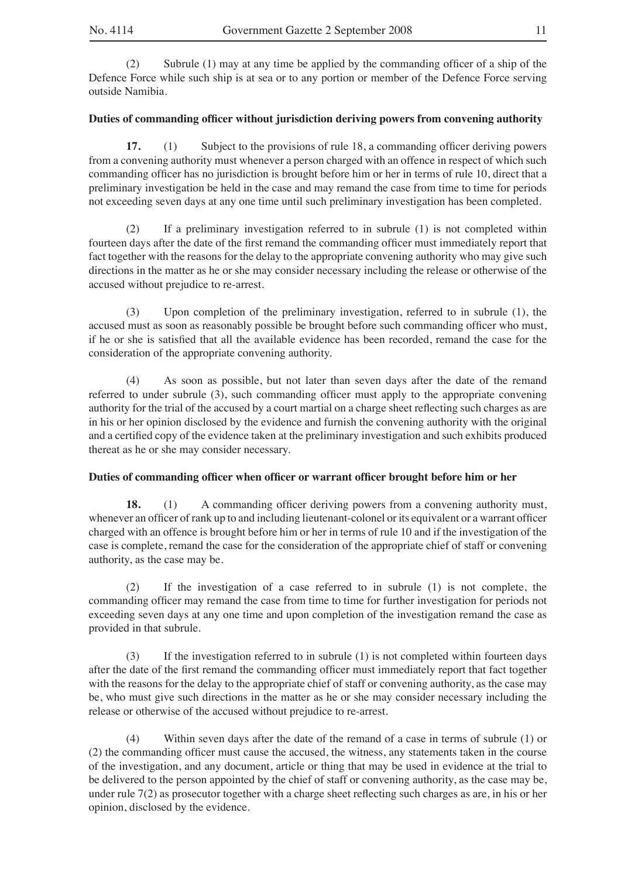(2) Subrule (1) may at any time be applied by the commanding officer of a ship of the Defence Force while such ship is at sea or to any portion or member of the Defence Force serving outside Namibia.

## **Duties of commanding officer without jurisdiction deriving powers from convening authority**

**17.** (1) Subject to the provisions of rule 18, a commanding officer deriving powers from a convening authority must whenever a person charged with an offence in respect of which such commanding officer has no jurisdiction is brought before him or her in terms of rule 10, direct that a preliminary investigation be held in the case and may remand the case from time to time for periods not exceeding seven days at any one time until such preliminary investigation has been completed.

(2) If a preliminary investigation referred to in subrule (1) is not completed within fourteen days after the date of the first remand the commanding officer must immediately report that fact together with the reasons for the delay to the appropriate convening authority who may give such directions in the matter as he or she may consider necessary including the release or otherwise of the accused without prejudice to re-arrest.

(3) Upon completion of the preliminary investigation, referred to in subrule (1), the accused must as soon as reasonably possible be brought before such commanding officer who must, if he or she is satisfied that all the available evidence has been recorded, remand the case for the consideration of the appropriate convening authority.

(4) As soon as possible, but not later than seven days after the date of the remand referred to under subrule (3), such commanding officer must apply to the appropriate convening authority for the trial of the accused by a court martial on a charge sheet reflecting such charges as are in his or her opinion disclosed by the evidence and furnish the convening authority with the original and a certified copy of the evidence taken at the preliminary investigation and such exhibits produced thereat as he or she may consider necessary.

## **Duties of commanding officer when officer or warrant officer brought before him or her**

**18.** (1) A commanding officer deriving powers from a convening authority must, whenever an officer of rank up to and including lieutenant-colonel or its equivalent or a warrant officer charged with an offence is brought before him or her in terms of rule 10 and if the investigation of the case is complete, remand the case for the consideration of the appropriate chief of staff or convening authority, as the case may be.

(2) If the investigation of a case referred to in subrule (1) is not complete, the commanding officer may remand the case from time to time for further investigation for periods not exceeding seven days at any one time and upon completion of the investigation remand the case as provided in that subrule.

(3) If the investigation referred to in subrule (1) is not completed within fourteen days after the date of the first remand the commanding officer must immediately report that fact together with the reasons for the delay to the appropriate chief of staff or convening authority, as the case may be, who must give such directions in the matter as he or she may consider necessary including the release or otherwise of the accused without prejudice to re-arrest.

(4) Within seven days after the date of the remand of a case in terms of subrule (1) or (2) the commanding officer must cause the accused, the witness, any statements taken in the course of the investigation, and any document, article or thing that may be used in evidence at the trial to be delivered to the person appointed by the chief of staff or convening authority, as the case may be, under rule 7(2) as prosecutor together with a charge sheet reflecting such charges as are, in his or her opinion, disclosed by the evidence.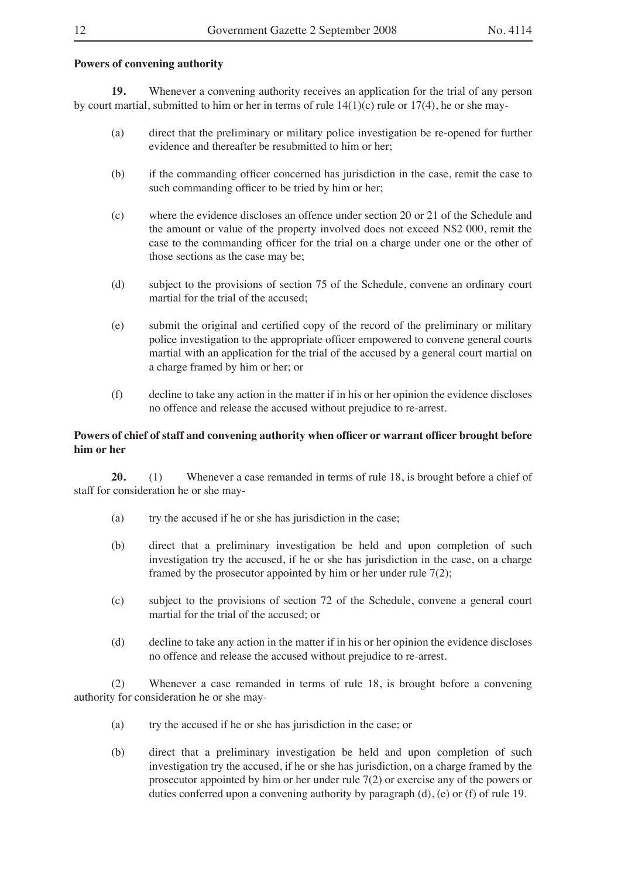## **Powers of convening authority**

**19.** Whenever a convening authority receives an application for the trial of any person by court martial, submitted to him or her in terms of rule  $14(1)(c)$  rule or  $17(4)$ , he or she may-

- (a) direct that the preliminary or military police investigation be re-opened for further evidence and thereafter be resubmitted to him or her;
- (b) if the commanding officer concerned has jurisdiction in the case, remit the case to such commanding officer to be tried by him or her;
- (c) where the evidence discloses an offence under section 20 or 21 of the Schedule and the amount or value of the property involved does not exceed N\$2 000, remit the case to the commanding officer for the trial on a charge under one or the other of those sections as the case may be;
- (d) subject to the provisions of section 75 of the Schedule, convene an ordinary court martial for the trial of the accused;
- (e) submit the original and certified copy of the record of the preliminary or military police investigation to the appropriate officer empowered to convene general courts martial with an application for the trial of the accused by a general court martial on a charge framed by him or her; or
- (f) decline to take any action in the matter if in his or her opinion the evidence discloses no offence and release the accused without prejudice to re-arrest.

## **Powers of chief of staff and convening authority when officer or warrant officer brought before him or her**

**20.** (1) Whenever a case remanded in terms of rule 18, is brought before a chief of staff for consideration he or she may-

- (a) try the accused if he or she has jurisdiction in the case;
- (b) direct that a preliminary investigation be held and upon completion of such investigation try the accused, if he or she has jurisdiction in the case, on a charge framed by the prosecutor appointed by him or her under rule  $7(2)$ ;
- (c) subject to the provisions of section 72 of the Schedule, convene a general court martial for the trial of the accused; or
- (d) decline to take any action in the matter if in his or her opinion the evidence discloses no offence and release the accused without prejudice to re-arrest.

(2) Whenever a case remanded in terms of rule 18, is brought before a convening authority for consideration he or she may-

- (a) try the accused if he or she has jurisdiction in the case; or
- (b) direct that a preliminary investigation be held and upon completion of such investigation try the accused, if he or she has jurisdiction, on a charge framed by the prosecutor appointed by him or her under rule 7(2) or exercise any of the powers or duties conferred upon a convening authority by paragraph (d), (e) or (f) of rule 19.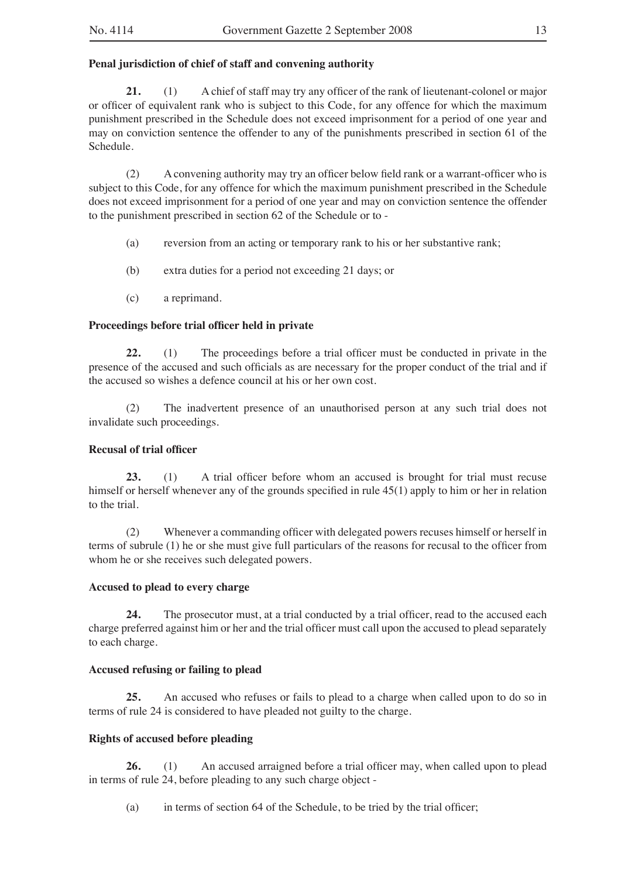## **Penal jurisdiction of chief of staff and convening authority**

**21.** (1) A chief of staff may try any officer of the rank of lieutenant-colonel or major or officer of equivalent rank who is subject to this Code, for any offence for which the maximum punishment prescribed in the Schedule does not exceed imprisonment for a period of one year and may on conviction sentence the offender to any of the punishments prescribed in section 61 of the Schedule.

(2) A convening authority may try an officer below field rank or a warrant-officer who is subject to this Code, for any offence for which the maximum punishment prescribed in the Schedule does not exceed imprisonment for a period of one year and may on conviction sentence the offender to the punishment prescribed in section 62 of the Schedule or to -

- (a) reversion from an acting or temporary rank to his or her substantive rank;
- (b) extra duties for a period not exceeding 21 days; or
- (c) a reprimand.

## **Proceedings before trial officer held in private**

**22.** (1) The proceedings before a trial officer must be conducted in private in the presence of the accused and such officials as are necessary for the proper conduct of the trial and if the accused so wishes a defence council at his or her own cost.

(2) The inadvertent presence of an unauthorised person at any such trial does not invalidate such proceedings.

## **Recusal of trial officer**

**23.** (1) A trial officer before whom an accused is brought for trial must recuse himself or herself whenever any of the grounds specified in rule 45(1) apply to him or her in relation to the trial.

(2) Whenever a commanding officer with delegated powers recuses himself or herself in terms of subrule (1) he or she must give full particulars of the reasons for recusal to the officer from whom he or she receives such delegated powers.

## **Accused to plead to every charge**

**24.** The prosecutor must, at a trial conducted by a trial officer, read to the accused each charge preferred against him or her and the trial officer must call upon the accused to plead separately to each charge.

## **Accused refusing or failing to plead**

**25.** An accused who refuses or fails to plead to a charge when called upon to do so in terms of rule 24 is considered to have pleaded not guilty to the charge.

## **Rights of accused before pleading**

**26.** (1) An accused arraigned before a trial officer may, when called upon to plead in terms of rule 24, before pleading to any such charge object -

(a) in terms of section 64 of the Schedule, to be tried by the trial officer;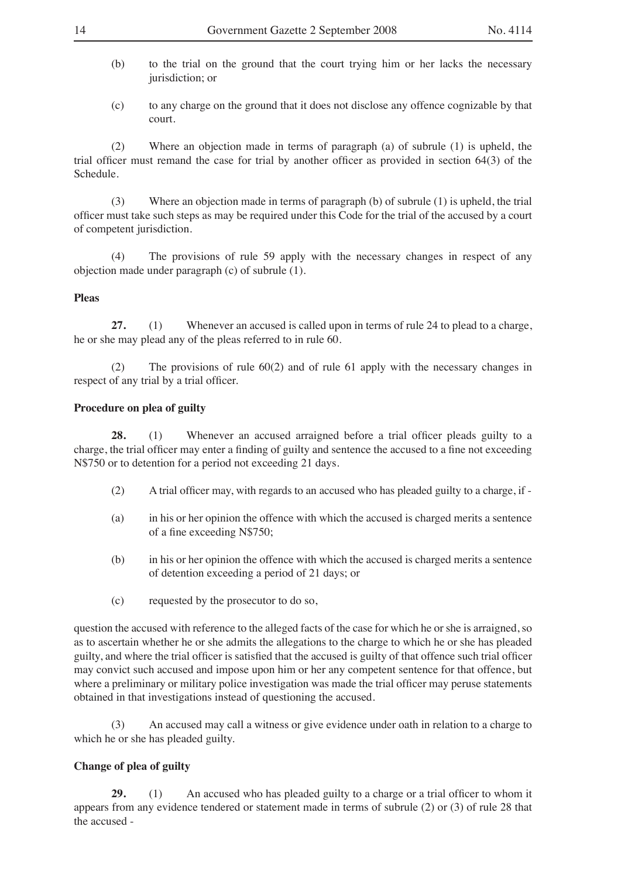- (b) to the trial on the ground that the court trying him or her lacks the necessary jurisdiction; or
- (c) to any charge on the ground that it does not disclose any offence cognizable by that court.

(2) Where an objection made in terms of paragraph (a) of subrule (1) is upheld, the trial officer must remand the case for trial by another officer as provided in section 64(3) of the Schedule.

(3) Where an objection made in terms of paragraph (b) of subrule (1) is upheld, the trial officer must take such steps as may be required under this Code for the trial of the accused by a court of competent jurisdiction.

(4) The provisions of rule 59 apply with the necessary changes in respect of any objection made under paragraph (c) of subrule (1).

#### **Pleas**

**27.** (1) Whenever an accused is called upon in terms of rule 24 to plead to a charge, he or she may plead any of the pleas referred to in rule 60.

(2) The provisions of rule 60(2) and of rule 61 apply with the necessary changes in respect of any trial by a trial officer.

## **Procedure on plea of guilty**

**28.** (1) Whenever an accused arraigned before a trial officer pleads guilty to a charge, the trial officer may enter a finding of guilty and sentence the accused to a fine not exceeding N\$750 or to detention for a period not exceeding 21 days.

- (2) A trial officer may, with regards to an accused who has pleaded guilty to a charge, if -
- (a) in his or her opinion the offence with which the accused is charged merits a sentence of a fine exceeding N\$750;
- (b) in his or her opinion the offence with which the accused is charged merits a sentence of detention exceeding a period of 21 days; or
- (c) requested by the prosecutor to do so,

question the accused with reference to the alleged facts of the case for which he or she is arraigned, so as to ascertain whether he or she admits the allegations to the charge to which he or she has pleaded guilty, and where the trial officer is satisfied that the accused is guilty of that offence such trial officer may convict such accused and impose upon him or her any competent sentence for that offence, but where a preliminary or military police investigation was made the trial officer may peruse statements obtained in that investigations instead of questioning the accused.

(3) An accused may call a witness or give evidence under oath in relation to a charge to which he or she has pleaded guilty.

## **Change of plea of guilty**

**29.** (1) An accused who has pleaded guilty to a charge or a trial officer to whom it appears from any evidence tendered or statement made in terms of subrule (2) or (3) of rule 28 that the accused -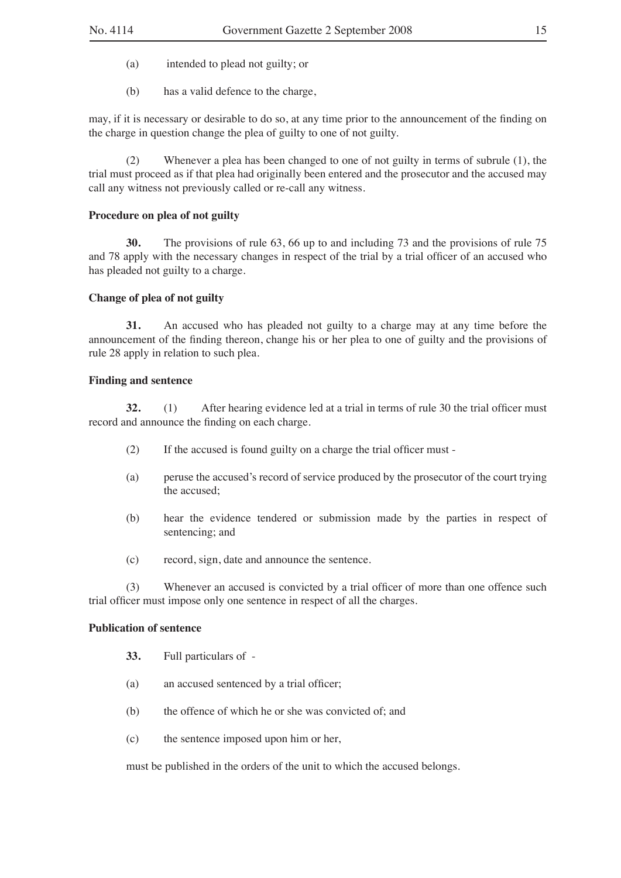- (a) intended to plead not guilty; or
- (b) has a valid defence to the charge,

may, if it is necessary or desirable to do so, at any time prior to the announcement of the finding on the charge in question change the plea of guilty to one of not guilty.

(2) Whenever a plea has been changed to one of not guilty in terms of subrule (1), the trial must proceed as if that plea had originally been entered and the prosecutor and the accused may call any witness not previously called or re-call any witness.

## **Procedure on plea of not guilty**

**30.** The provisions of rule 63, 66 up to and including 73 and the provisions of rule 75 and 78 apply with the necessary changes in respect of the trial by a trial officer of an accused who has pleaded not guilty to a charge.

#### **Change of plea of not guilty**

**31.** An accused who has pleaded not guilty to a charge may at any time before the announcement of the finding thereon, change his or her plea to one of guilty and the provisions of rule 28 apply in relation to such plea.

#### **Finding and sentence**

**32.** (1) After hearing evidence led at a trial in terms of rule 30 the trial officer must record and announce the finding on each charge.

- (2) If the accused is found guilty on a charge the trial officer must -
- (a) peruse the accused's record of service produced by the prosecutor of the court trying the accused;
- (b) hear the evidence tendered or submission made by the parties in respect of sentencing; and
- (c) record, sign, date and announce the sentence.

(3) Whenever an accused is convicted by a trial officer of more than one offence such trial officer must impose only one sentence in respect of all the charges.

#### **Publication of sentence**

- **33.** Full particulars of -
- (a) an accused sentenced by a trial officer;
- (b) the offence of which he or she was convicted of; and
- (c) the sentence imposed upon him or her,

must be published in the orders of the unit to which the accused belongs.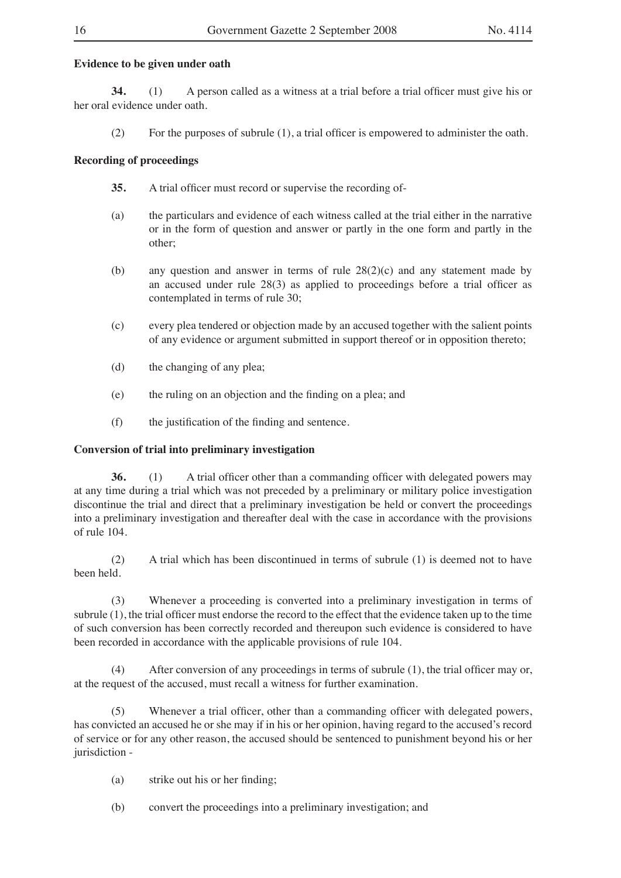## **Evidence to be given under oath**

**34.** (1) A person called as a witness at a trial before a trial officer must give his or her oral evidence under oath.

(2) For the purposes of subrule (1), a trial officer is empowered to administer the oath.

## **Recording of proceedings**

- **35.** A trial officer must record or supervise the recording of-
- (a) the particulars and evidence of each witness called at the trial either in the narrative or in the form of question and answer or partly in the one form and partly in the other;
- (b) any question and answer in terms of rule 28(2)(c) and any statement made by an accused under rule 28(3) as applied to proceedings before a trial officer as contemplated in terms of rule 30;
- (c) every plea tendered or objection made by an accused together with the salient points of any evidence or argument submitted in support thereof or in opposition thereto;
- (d) the changing of any plea;
- (e) the ruling on an objection and the finding on a plea; and
- (f) the justification of the finding and sentence.

## **Conversion of trial into preliminary investigation**

**36.** (1) A trial officer other than a commanding officer with delegated powers may at any time during a trial which was not preceded by a preliminary or military police investigation discontinue the trial and direct that a preliminary investigation be held or convert the proceedings into a preliminary investigation and thereafter deal with the case in accordance with the provisions of rule 104.

(2) A trial which has been discontinued in terms of subrule (1) is deemed not to have been held.

(3) Whenever a proceeding is converted into a preliminary investigation in terms of subrule (1), the trial officer must endorse the record to the effect that the evidence taken up to the time of such conversion has been correctly recorded and thereupon such evidence is considered to have been recorded in accordance with the applicable provisions of rule 104.

(4) After conversion of any proceedings in terms of subrule (1), the trial officer may or, at the request of the accused, must recall a witness for further examination.

(5) Whenever a trial officer, other than a commanding officer with delegated powers, has convicted an accused he or she may if in his or her opinion, having regard to the accused's record of service or for any other reason, the accused should be sentenced to punishment beyond his or her jurisdiction -

- (a) strike out his or her finding;
- (b) convert the proceedings into a preliminary investigation; and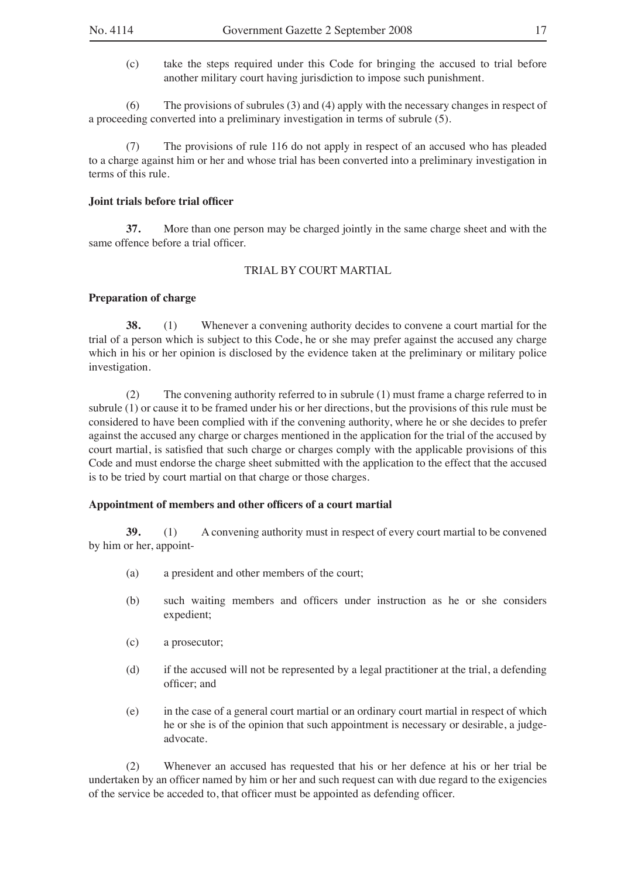(c) take the steps required under this Code for bringing the accused to trial before another military court having jurisdiction to impose such punishment.

(6) The provisions of subrules (3) and (4) apply with the necessary changes in respect of a proceeding converted into a preliminary investigation in terms of subrule (5).

(7) The provisions of rule 116 do not apply in respect of an accused who has pleaded to a charge against him or her and whose trial has been converted into a preliminary investigation in terms of this rule.

## **Joint trials before trial officer**

**37.** More than one person may be charged jointly in the same charge sheet and with the same offence before a trial officer.

#### TRIAL BY COURT MARTIAL

#### **Preparation of charge**

**38.** (1) Whenever a convening authority decides to convene a court martial for the trial of a person which is subject to this Code, he or she may prefer against the accused any charge which in his or her opinion is disclosed by the evidence taken at the preliminary or military police investigation.

(2) The convening authority referred to in subrule (1) must frame a charge referred to in subrule (1) or cause it to be framed under his or her directions, but the provisions of this rule must be considered to have been complied with if the convening authority, where he or she decides to prefer against the accused any charge or charges mentioned in the application for the trial of the accused by court martial, is satisfied that such charge or charges comply with the applicable provisions of this Code and must endorse the charge sheet submitted with the application to the effect that the accused is to be tried by court martial on that charge or those charges.

## **Appointment of members and other officers of a court martial**

**39.** (1) A convening authority must in respect of every court martial to be convened by him or her, appoint-

- (a) a president and other members of the court;
- (b) such waiting members and officers under instruction as he or she considers expedient;
- (c) a prosecutor;
- (d) if the accused will not be represented by a legal practitioner at the trial, a defending officer; and
- (e) in the case of a general court martial or an ordinary court martial in respect of which he or she is of the opinion that such appointment is necessary or desirable, a judgeadvocate.

(2) Whenever an accused has requested that his or her defence at his or her trial be undertaken by an officer named by him or her and such request can with due regard to the exigencies of the service be acceded to, that officer must be appointed as defending officer.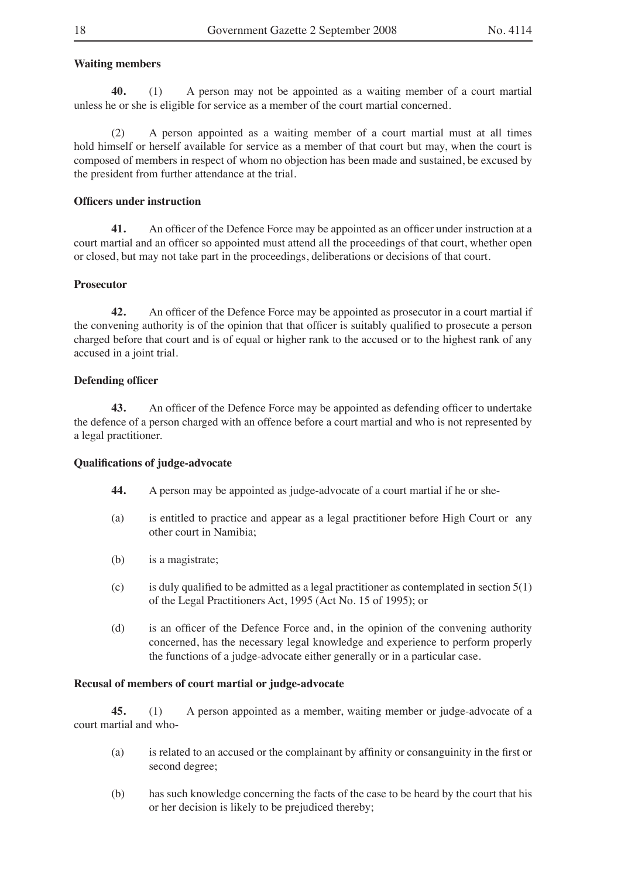## **Waiting members**

**40.** (1) A person may not be appointed as a waiting member of a court martial unless he or she is eligible for service as a member of the court martial concerned.

(2) A person appointed as a waiting member of a court martial must at all times hold himself or herself available for service as a member of that court but may, when the court is composed of members in respect of whom no objection has been made and sustained, be excused by the president from further attendance at the trial.

## **Officers under instruction**

**41.** An officer of the Defence Force may be appointed as an officer under instruction at a court martial and an officer so appointed must attend all the proceedings of that court, whether open or closed, but may not take part in the proceedings, deliberations or decisions of that court.

#### **Prosecutor**

**42.** An officer of the Defence Force may be appointed as prosecutor in a court martial if the convening authority is of the opinion that that officer is suitably qualified to prosecute a person charged before that court and is of equal or higher rank to the accused or to the highest rank of any accused in a joint trial.

#### **Defending officer**

**43.** An officer of the Defence Force may be appointed as defending officer to undertake the defence of a person charged with an offence before a court martial and who is not represented by a legal practitioner.

#### **Qualifications of judge-advocate**

- **44.** A person may be appointed as judge-advocate of a court martial if he or she-
- (a) is entitled to practice and appear as a legal practitioner before High Court or any other court in Namibia;
- (b) is a magistrate;
- (c) is duly qualified to be admitted as a legal practitioner as contemplated in section 5(1) of the Legal Practitioners Act, 1995 (Act No. 15 of 1995); or
- (d) is an officer of the Defence Force and, in the opinion of the convening authority concerned, has the necessary legal knowledge and experience to perform properly the functions of a judge-advocate either generally or in a particular case.

## **Recusal of members of court martial or judge-advocate**

**45.** (1) A person appointed as a member, waiting member or judge-advocate of a court martial and who-

- (a) is related to an accused or the complainant by affinity or consanguinity in the first or second degree;
- (b) has such knowledge concerning the facts of the case to be heard by the court that his or her decision is likely to be prejudiced thereby;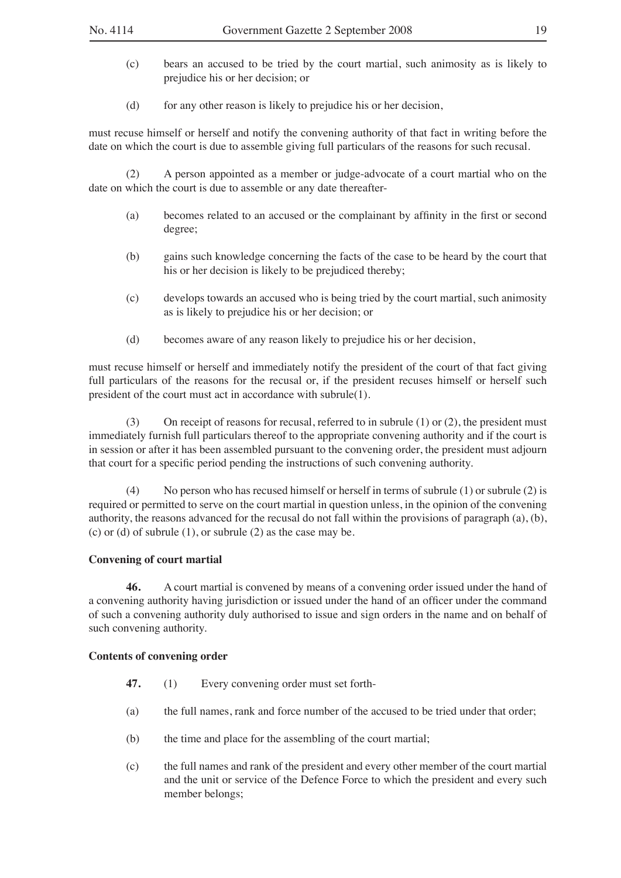- (c) bears an accused to be tried by the court martial, such animosity as is likely to prejudice his or her decision; or
- (d) for any other reason is likely to prejudice his or her decision,

must recuse himself or herself and notify the convening authority of that fact in writing before the date on which the court is due to assemble giving full particulars of the reasons for such recusal.

(2) A person appointed as a member or judge-advocate of a court martial who on the date on which the court is due to assemble or any date thereafter-

- (a) becomes related to an accused or the complainant by affinity in the first or second degree;
- (b) gains such knowledge concerning the facts of the case to be heard by the court that his or her decision is likely to be prejudiced thereby;
- (c) develops towards an accused who is being tried by the court martial, such animosity as is likely to prejudice his or her decision; or
- (d) becomes aware of any reason likely to prejudice his or her decision,

must recuse himself or herself and immediately notify the president of the court of that fact giving full particulars of the reasons for the recusal or, if the president recuses himself or herself such president of the court must act in accordance with subrule(1).

(3) On receipt of reasons for recusal, referred to in subrule  $(1)$  or  $(2)$ , the president must immediately furnish full particulars thereof to the appropriate convening authority and if the court is in session or after it has been assembled pursuant to the convening order, the president must adjourn that court for a specific period pending the instructions of such convening authority.

(4) No person who has recused himself or herself in terms of subrule (1) or subrule (2) is required or permitted to serve on the court martial in question unless, in the opinion of the convening authority, the reasons advanced for the recusal do not fall within the provisions of paragraph (a), (b), (c) or (d) of subrule  $(1)$ , or subrule  $(2)$  as the case may be.

#### **Convening of court martial**

**46.** A court martial is convened by means of a convening order issued under the hand of a convening authority having jurisdiction or issued under the hand of an officer under the command of such a convening authority duly authorised to issue and sign orders in the name and on behalf of such convening authority.

#### **Contents of convening order**

- **47.** (1) Every convening order must set forth-
- (a) the full names, rank and force number of the accused to be tried under that order;
- (b) the time and place for the assembling of the court martial;
- (c) the full names and rank of the president and every other member of the court martial and the unit or service of the Defence Force to which the president and every such member belongs;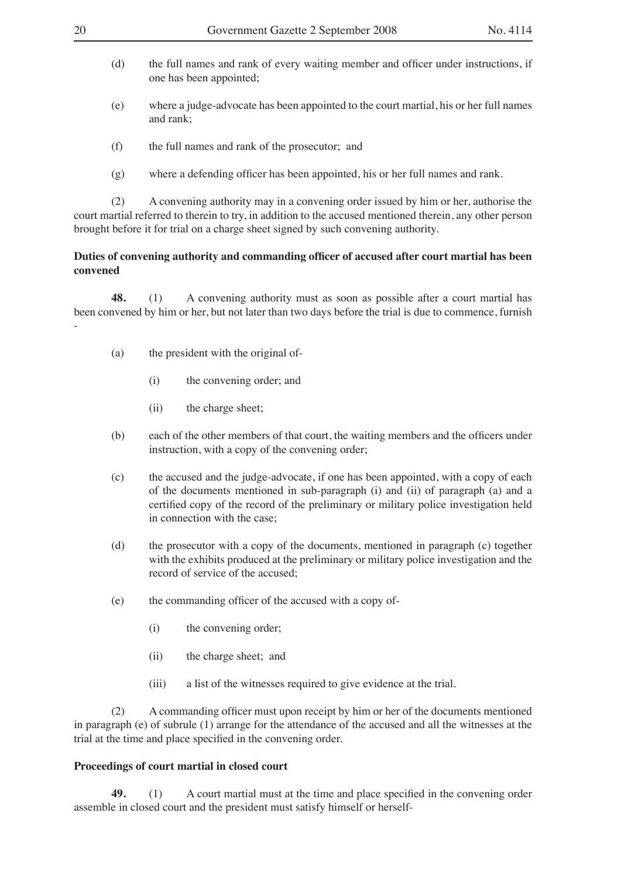- (d) the full names and rank of every waiting member and officer under instructions, if one has been appointed;
- (e) where a judge-advocate has been appointed to the court martial, his or her full names and rank;
- (f) the full names and rank of the prosecutor; and
- (g) where a defending officer has been appointed, his or her full names and rank.

(2) A convening authority may in a convening order issued by him or her, authorise the court martial referred to therein to try, in addition to the accused mentioned therein, any other person brought before it for trial on a charge sheet signed by such convening authority.

## **Duties of convening authority and commanding officer of accused after court martial has been convened**

**48.** (1) A convening authority must as soon as possible after a court martial has been convened by him or her, but not later than two days before the trial is due to commence, furnish -

- (a) the president with the original of-
	- (i) the convening order; and
	- (ii) the charge sheet;
- (b) each of the other members of that court, the waiting members and the officers under instruction, with a copy of the convening order;
- (c) the accused and the judge-advocate, if one has been appointed, with a copy of each of the documents mentioned in sub-paragraph (i) and (ii) of paragraph (a) and a certified copy of the record of the preliminary or military police investigation held in connection with the case;
- (d) the prosecutor with a copy of the documents, mentioned in paragraph (c) together with the exhibits produced at the preliminary or military police investigation and the record of service of the accused;
- (e) the commanding officer of the accused with a copy of-
	- (i) the convening order;
	- (ii) the charge sheet; and
	- (iii) a list of the witnesses required to give evidence at the trial.

(2) A commanding officer must upon receipt by him or her of the documents mentioned in paragraph (e) of subrule (1) arrange for the attendance of the accused and all the witnesses at the trial at the time and place specified in the convening order.

#### **Proceedings of court martial in closed court**

**49.** (1) A court martial must at the time and place specified in the convening order assemble in closed court and the president must satisfy himself or herself-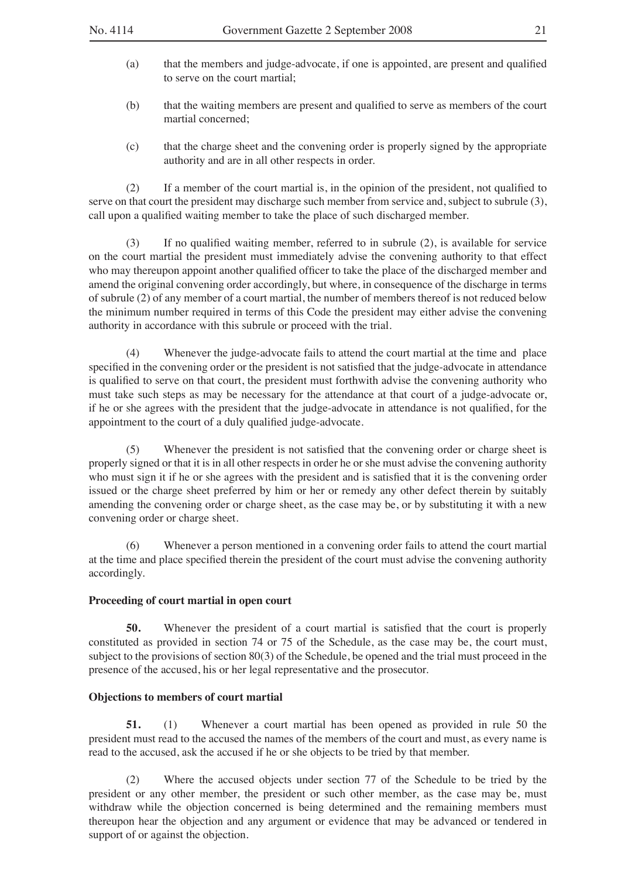- (a) that the members and judge-advocate, if one is appointed, are present and qualified to serve on the court martial;
- (b) that the waiting members are present and qualified to serve as members of the court martial concerned;
- (c) that the charge sheet and the convening order is properly signed by the appropriate authority and are in all other respects in order.

(2) If a member of the court martial is, in the opinion of the president, not qualified to serve on that court the president may discharge such member from service and, subject to subrule (3), call upon a qualified waiting member to take the place of such discharged member.

(3) If no qualified waiting member, referred to in subrule (2), is available for service on the court martial the president must immediately advise the convening authority to that effect who may thereupon appoint another qualified officer to take the place of the discharged member and amend the original convening order accordingly, but where, in consequence of the discharge in terms of subrule (2) of any member of a court martial, the number of members thereof is not reduced below the minimum number required in terms of this Code the president may either advise the convening authority in accordance with this subrule or proceed with the trial.

(4) Whenever the judge-advocate fails to attend the court martial at the time and place specified in the convening order or the president is not satisfied that the judge-advocate in attendance is qualified to serve on that court, the president must forthwith advise the convening authority who must take such steps as may be necessary for the attendance at that court of a judge-advocate or, if he or she agrees with the president that the judge-advocate in attendance is not qualified, for the appointment to the court of a duly qualified judge-advocate.

(5) Whenever the president is not satisfied that the convening order or charge sheet is properly signed or that it is in all other respects in order he or she must advise the convening authority who must sign it if he or she agrees with the president and is satisfied that it is the convening order issued or the charge sheet preferred by him or her or remedy any other defect therein by suitably amending the convening order or charge sheet, as the case may be, or by substituting it with a new convening order or charge sheet.

(6) Whenever a person mentioned in a convening order fails to attend the court martial at the time and place specified therein the president of the court must advise the convening authority accordingly.

### **Proceeding of court martial in open court**

**50.** Whenever the president of a court martial is satisfied that the court is properly constituted as provided in section 74 or 75 of the Schedule, as the case may be, the court must, subject to the provisions of section 80(3) of the Schedule, be opened and the trial must proceed in the presence of the accused, his or her legal representative and the prosecutor.

#### **Objections to members of court martial**

**51.** (1) Whenever a court martial has been opened as provided in rule 50 the president must read to the accused the names of the members of the court and must, as every name is read to the accused, ask the accused if he or she objects to be tried by that member.

(2) Where the accused objects under section 77 of the Schedule to be tried by the president or any other member, the president or such other member, as the case may be, must withdraw while the objection concerned is being determined and the remaining members must thereupon hear the objection and any argument or evidence that may be advanced or tendered in support of or against the objection.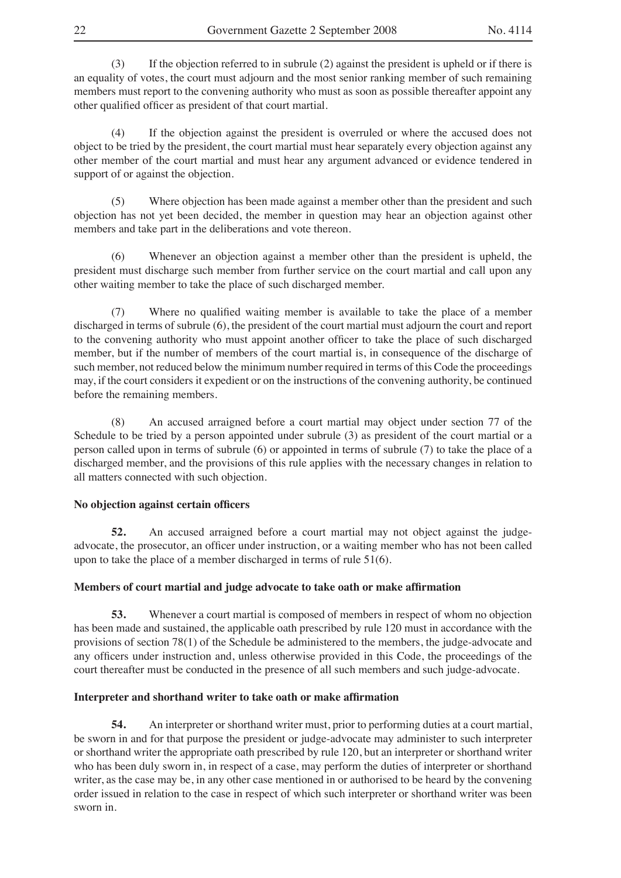(3) If the objection referred to in subrule (2) against the president is upheld or if there is an equality of votes, the court must adjourn and the most senior ranking member of such remaining members must report to the convening authority who must as soon as possible thereafter appoint any other qualified officer as president of that court martial.

(4) If the objection against the president is overruled or where the accused does not object to be tried by the president, the court martial must hear separately every objection against any other member of the court martial and must hear any argument advanced or evidence tendered in support of or against the objection.

(5) Where objection has been made against a member other than the president and such objection has not yet been decided, the member in question may hear an objection against other members and take part in the deliberations and vote thereon.

(6) Whenever an objection against a member other than the president is upheld, the president must discharge such member from further service on the court martial and call upon any other waiting member to take the place of such discharged member.

(7) Where no qualified waiting member is available to take the place of a member discharged in terms of subrule (6), the president of the court martial must adjourn the court and report to the convening authority who must appoint another officer to take the place of such discharged member, but if the number of members of the court martial is, in consequence of the discharge of such member, not reduced below the minimum number required in terms of this Code the proceedings may, if the court considers it expedient or on the instructions of the convening authority, be continued before the remaining members.

(8) An accused arraigned before a court martial may object under section 77 of the Schedule to be tried by a person appointed under subrule  $(3)$  as president of the court martial or a person called upon in terms of subrule (6) or appointed in terms of subrule (7) to take the place of a discharged member, and the provisions of this rule applies with the necessary changes in relation to all matters connected with such objection.

## **No objection against certain officers**

**52.** An accused arraigned before a court martial may not object against the judgeadvocate, the prosecutor, an officer under instruction, or a waiting member who has not been called upon to take the place of a member discharged in terms of rule 51(6).

#### **Members of court martial and judge advocate to take oath or make affirmation**

**53.** Whenever a court martial is composed of members in respect of whom no objection has been made and sustained, the applicable oath prescribed by rule 120 must in accordance with the provisions of section 78(1) of the Schedule be administered to the members, the judge-advocate and any officers under instruction and, unless otherwise provided in this Code, the proceedings of the court thereafter must be conducted in the presence of all such members and such judge-advocate.

#### **Interpreter and shorthand writer to take oath or make affirmation**

**54.** An interpreter or shorthand writer must, prior to performing duties at a court martial, be sworn in and for that purpose the president or judge-advocate may administer to such interpreter or shorthand writer the appropriate oath prescribed by rule 120, but an interpreter or shorthand writer who has been duly sworn in, in respect of a case, may perform the duties of interpreter or shorthand writer, as the case may be, in any other case mentioned in or authorised to be heard by the convening order issued in relation to the case in respect of which such interpreter or shorthand writer was been sworn in.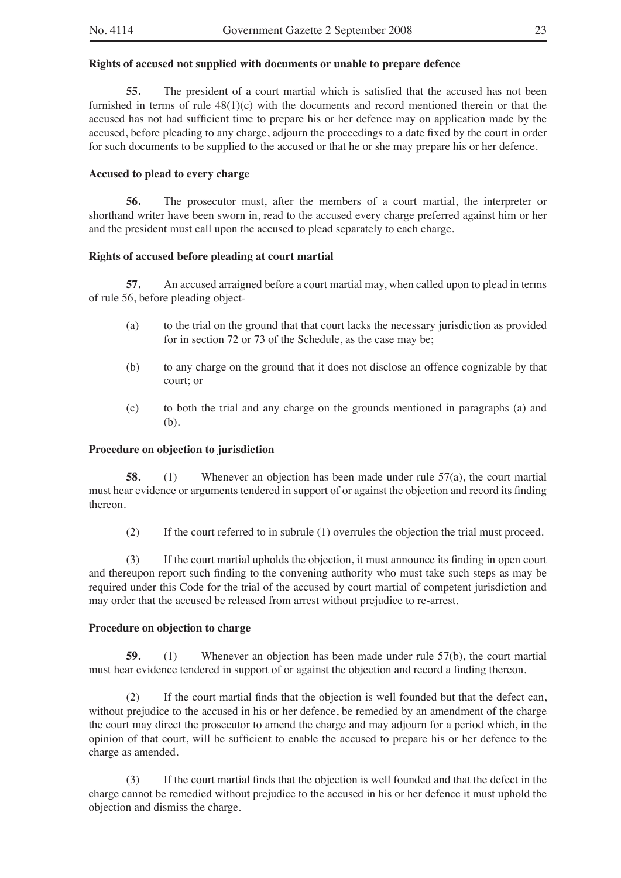## **Rights of accused not supplied with documents or unable to prepare defence**

**55.** The president of a court martial which is satisfied that the accused has not been furnished in terms of rule  $48(1)(c)$  with the documents and record mentioned therein or that the accused has not had sufficient time to prepare his or her defence may on application made by the accused, before pleading to any charge, adjourn the proceedings to a date fixed by the court in order for such documents to be supplied to the accused or that he or she may prepare his or her defence.

## **Accused to plead to every charge**

**56.** The prosecutor must, after the members of a court martial, the interpreter or shorthand writer have been sworn in, read to the accused every charge preferred against him or her and the president must call upon the accused to plead separately to each charge.

## **Rights of accused before pleading at court martial**

**57.** An accused arraigned before a court martial may, when called upon to plead in terms of rule 56, before pleading object-

- (a) to the trial on the ground that that court lacks the necessary jurisdiction as provided for in section 72 or 73 of the Schedule, as the case may be;
- (b) to any charge on the ground that it does not disclose an offence cognizable by that court; or
- (c) to both the trial and any charge on the grounds mentioned in paragraphs (a) and (b).

## **Procedure on objection to jurisdiction**

**58.** (1) Whenever an objection has been made under rule 57(a), the court martial must hear evidence or arguments tendered in support of or against the objection and record its finding thereon.

(2) If the court referred to in subrule (1) overrules the objection the trial must proceed.

(3) If the court martial upholds the objection, it must announce its finding in open court and thereupon report such finding to the convening authority who must take such steps as may be required under this Code for the trial of the accused by court martial of competent jurisdiction and may order that the accused be released from arrest without prejudice to re-arrest.

## **Procedure on objection to charge**

**59.** (1) Whenever an objection has been made under rule 57(b), the court martial must hear evidence tendered in support of or against the objection and record a finding thereon.

(2) If the court martial finds that the objection is well founded but that the defect can, without prejudice to the accused in his or her defence, be remedied by an amendment of the charge the court may direct the prosecutor to amend the charge and may adjourn for a period which, in the opinion of that court, will be sufficient to enable the accused to prepare his or her defence to the charge as amended.

(3) If the court martial finds that the objection is well founded and that the defect in the charge cannot be remedied without prejudice to the accused in his or her defence it must uphold the objection and dismiss the charge.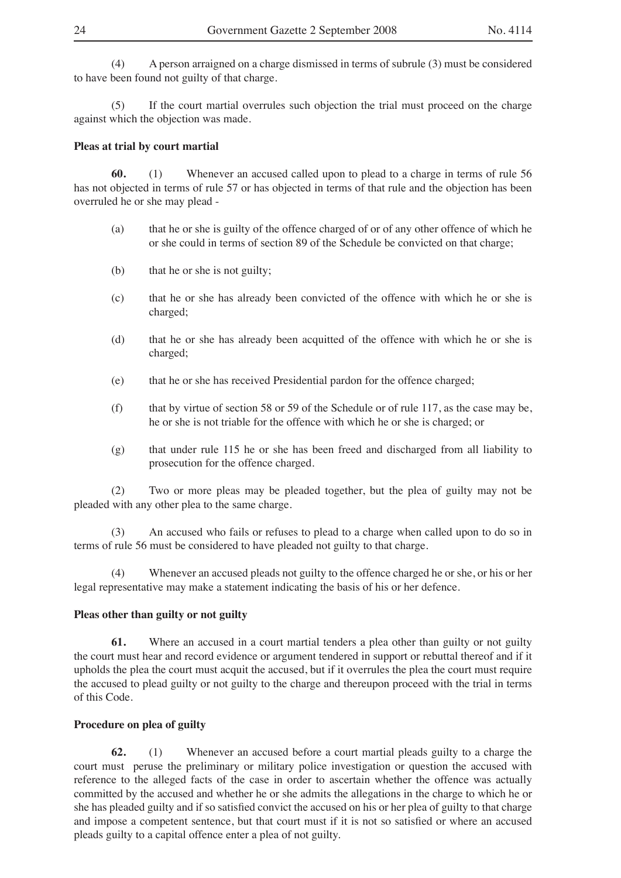(4) A person arraigned on a charge dismissed in terms of subrule (3) must be considered to have been found not guilty of that charge.

(5) If the court martial overrules such objection the trial must proceed on the charge against which the objection was made.

#### **Pleas at trial by court martial**

**60.** (1) Whenever an accused called upon to plead to a charge in terms of rule 56 has not objected in terms of rule 57 or has objected in terms of that rule and the objection has been overruled he or she may plead -

- (a) that he or she is guilty of the offence charged of or of any other offence of which he or she could in terms of section 89 of the Schedule be convicted on that charge;
- (b) that he or she is not guilty;
- (c) that he or she has already been convicted of the offence with which he or she is charged;
- (d) that he or she has already been acquitted of the offence with which he or she is charged;
- (e) that he or she has received Presidential pardon for the offence charged;
- (f) that by virtue of section 58 or 59 of the Schedule or of rule 117, as the case may be, he or she is not triable for the offence with which he or she is charged; or
- (g) that under rule 115 he or she has been freed and discharged from all liability to prosecution for the offence charged.

(2) Two or more pleas may be pleaded together, but the plea of guilty may not be pleaded with any other plea to the same charge.

(3) An accused who fails or refuses to plead to a charge when called upon to do so in terms of rule 56 must be considered to have pleaded not guilty to that charge.

(4) Whenever an accused pleads not guilty to the offence charged he or she, or his or her legal representative may make a statement indicating the basis of his or her defence.

## **Pleas other than guilty or not guilty**

**61.** Where an accused in a court martial tenders a plea other than guilty or not guilty the court must hear and record evidence or argument tendered in support or rebuttal thereof and if it upholds the plea the court must acquit the accused, but if it overrules the plea the court must require the accused to plead guilty or not guilty to the charge and thereupon proceed with the trial in terms of this Code.

## **Procedure on plea of guilty**

**62.** (1) Whenever an accused before a court martial pleads guilty to a charge the court must peruse the preliminary or military police investigation or question the accused with reference to the alleged facts of the case in order to ascertain whether the offence was actually committed by the accused and whether he or she admits the allegations in the charge to which he or she has pleaded guilty and if so satisfied convict the accused on his or her plea of guilty to that charge and impose a competent sentence, but that court must if it is not so satisfied or where an accused pleads guilty to a capital offence enter a plea of not guilty.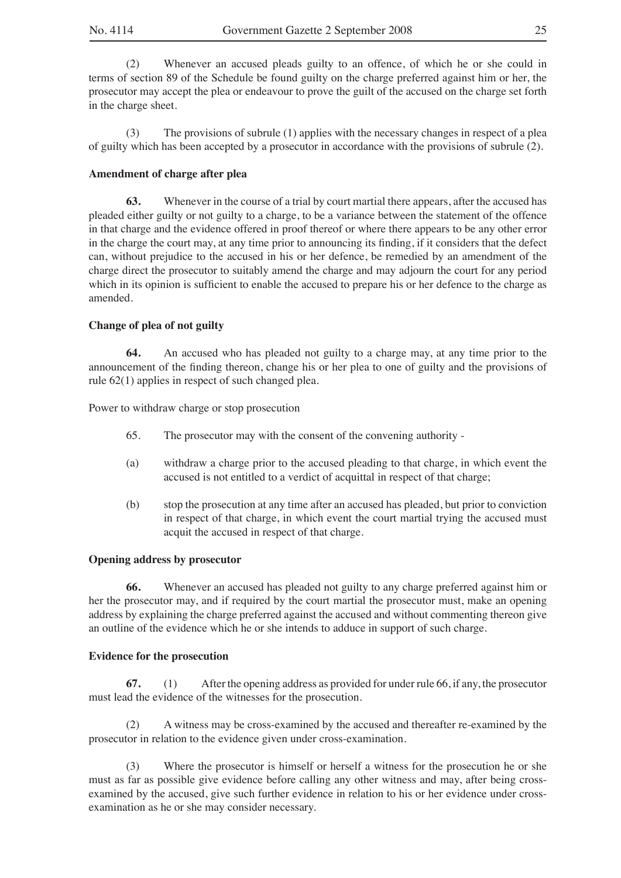(2) Whenever an accused pleads guilty to an offence, of which he or she could in terms of section 89 of the Schedule be found guilty on the charge preferred against him or her, the prosecutor may accept the plea or endeavour to prove the guilt of the accused on the charge set forth in the charge sheet.

(3) The provisions of subrule (1) applies with the necessary changes in respect of a plea of guilty which has been accepted by a prosecutor in accordance with the provisions of subrule (2).

## **Amendment of charge after plea**

**63.** Whenever in the course of a trial by court martial there appears, after the accused has pleaded either guilty or not guilty to a charge, to be a variance between the statement of the offence in that charge and the evidence offered in proof thereof or where there appears to be any other error in the charge the court may, at any time prior to announcing its finding, if it considers that the defect can, without prejudice to the accused in his or her defence, be remedied by an amendment of the charge direct the prosecutor to suitably amend the charge and may adjourn the court for any period which in its opinion is sufficient to enable the accused to prepare his or her defence to the charge as amended.

## **Change of plea of not guilty**

**64.** An accused who has pleaded not guilty to a charge may, at any time prior to the announcement of the finding thereon, change his or her plea to one of guilty and the provisions of rule 62(1) applies in respect of such changed plea.

Power to withdraw charge or stop prosecution

- 65. The prosecutor may with the consent of the convening authority -
- (a) withdraw a charge prior to the accused pleading to that charge, in which event the accused is not entitled to a verdict of acquittal in respect of that charge;
- (b) stop the prosecution at any time after an accused has pleaded, but prior to conviction in respect of that charge, in which event the court martial trying the accused must acquit the accused in respect of that charge.

#### **Opening address by prosecutor**

**66.** Whenever an accused has pleaded not guilty to any charge preferred against him or her the prosecutor may, and if required by the court martial the prosecutor must, make an opening address by explaining the charge preferred against the accused and without commenting thereon give an outline of the evidence which he or she intends to adduce in support of such charge.

#### **Evidence for the prosecution**

**67.** (1) After the opening address as provided for under rule 66, if any, the prosecutor must lead the evidence of the witnesses for the prosecution.

(2) A witness may be cross-examined by the accused and thereafter re-examined by the prosecutor in relation to the evidence given under cross-examination.

(3) Where the prosecutor is himself or herself a witness for the prosecution he or she must as far as possible give evidence before calling any other witness and may, after being crossexamined by the accused, give such further evidence in relation to his or her evidence under crossexamination as he or she may consider necessary.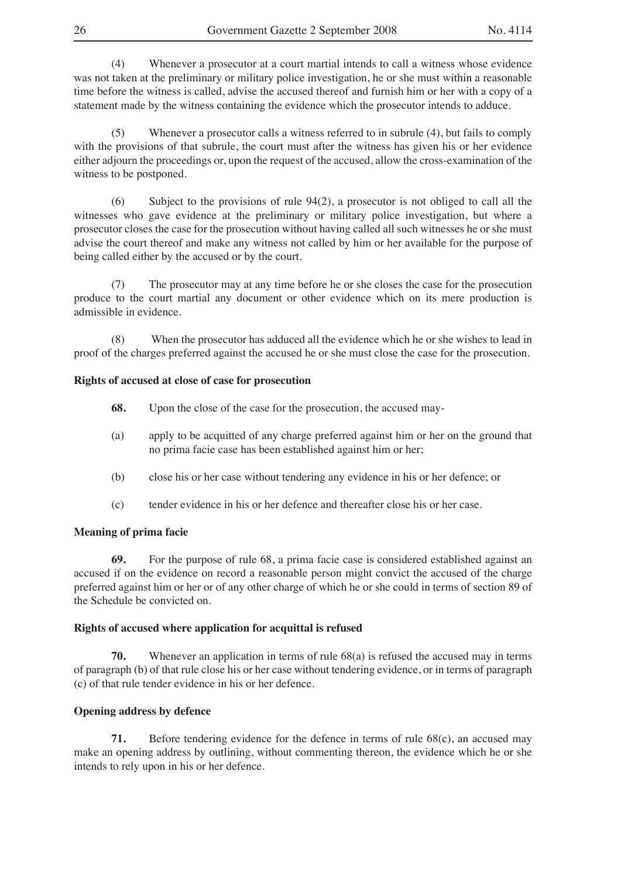(4) Whenever a prosecutor at a court martial intends to call a witness whose evidence was not taken at the preliminary or military police investigation, he or she must within a reasonable time before the witness is called, advise the accused thereof and furnish him or her with a copy of a statement made by the witness containing the evidence which the prosecutor intends to adduce.

(5) Whenever a prosecutor calls a witness referred to in subrule (4), but fails to comply with the provisions of that subrule, the court must after the witness has given his or her evidence either adjourn the proceedings or, upon the request of the accused, allow the cross-examination of the witness to be postponed.

(6) Subject to the provisions of rule 94(2), a prosecutor is not obliged to call all the witnesses who gave evidence at the preliminary or military police investigation, but where a prosecutor closes the case for the prosecution without having called all such witnesses he or she must advise the court thereof and make any witness not called by him or her available for the purpose of being called either by the accused or by the court.

(7) The prosecutor may at any time before he or she closes the case for the prosecution produce to the court martial any document or other evidence which on its mere production is admissible in evidence.

(8) When the prosecutor has adduced all the evidence which he or she wishes to lead in proof of the charges preferred against the accused he or she must close the case for the prosecution.

#### **Rights of accused at close of case for prosecution**

- **68.** Upon the close of the case for the prosecution, the accused may-
- (a) apply to be acquitted of any charge preferred against him or her on the ground that no prima facie case has been established against him or her;
- (b) close his or her case without tendering any evidence in his or her defence; or
- (c) tender evidence in his or her defence and thereafter close his or her case.

#### **Meaning of prima facie**

**69.** For the purpose of rule 68, a prima facie case is considered established against an accused if on the evidence on record a reasonable person might convict the accused of the charge preferred against him or her or of any other charge of which he or she could in terms of section 89 of the Schedule be convicted on.

#### **Rights of accused where application for acquittal is refused**

**70.** Whenever an application in terms of rule 68(a) is refused the accused may in terms of paragraph (b) of that rule close his or her case without tendering evidence, or in terms of paragraph (c) of that rule tender evidence in his or her defence.

## **Opening address by defence**

**71.** Before tendering evidence for the defence in terms of rule 68(c), an accused may make an opening address by outlining, without commenting thereon, the evidence which he or she intends to rely upon in his or her defence.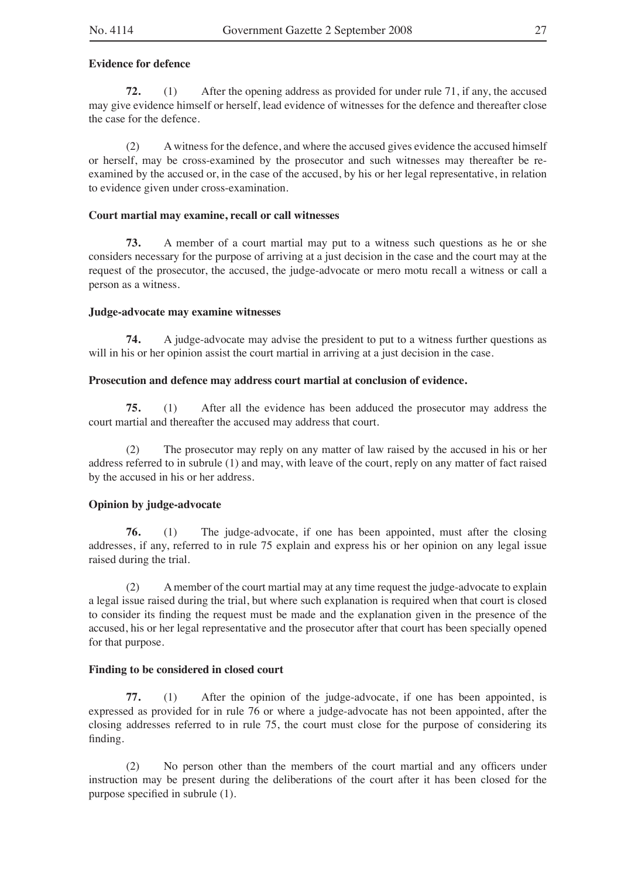## **Evidence for defence**

**72.** (1) After the opening address as provided for under rule 71, if any, the accused may give evidence himself or herself, lead evidence of witnesses for the defence and thereafter close the case for the defence.

(2) A witness for the defence, and where the accused gives evidence the accused himself or herself, may be cross-examined by the prosecutor and such witnesses may thereafter be reexamined by the accused or, in the case of the accused, by his or her legal representative, in relation to evidence given under cross-examination.

## **Court martial may examine, recall or call witnesses**

**73.** A member of a court martial may put to a witness such questions as he or she considers necessary for the purpose of arriving at a just decision in the case and the court may at the request of the prosecutor, the accused, the judge-advocate or mero motu recall a witness or call a person as a witness.

#### **Judge-advocate may examine witnesses**

**74.** A judge-advocate may advise the president to put to a witness further questions as will in his or her opinion assist the court martial in arriving at a just decision in the case.

#### **Prosecution and defence may address court martial at conclusion of evidence.**

**75.** (1) After all the evidence has been adduced the prosecutor may address the court martial and thereafter the accused may address that court.

(2) The prosecutor may reply on any matter of law raised by the accused in his or her address referred to in subrule (1) and may, with leave of the court, reply on any matter of fact raised by the accused in his or her address.

## **Opinion by judge-advocate**

**76.** (1) The judge-advocate, if one has been appointed, must after the closing addresses, if any, referred to in rule 75 explain and express his or her opinion on any legal issue raised during the trial.

(2) A member of the court martial may at any time request the judge-advocate to explain a legal issue raised during the trial, but where such explanation is required when that court is closed to consider its finding the request must be made and the explanation given in the presence of the accused, his or her legal representative and the prosecutor after that court has been specially opened for that purpose.

#### **Finding to be considered in closed court**

**77.** (1) After the opinion of the judge-advocate, if one has been appointed, is expressed as provided for in rule 76 or where a judge-advocate has not been appointed, after the closing addresses referred to in rule 75, the court must close for the purpose of considering its finding.

(2) No person other than the members of the court martial and any officers under instruction may be present during the deliberations of the court after it has been closed for the purpose specified in subrule (1).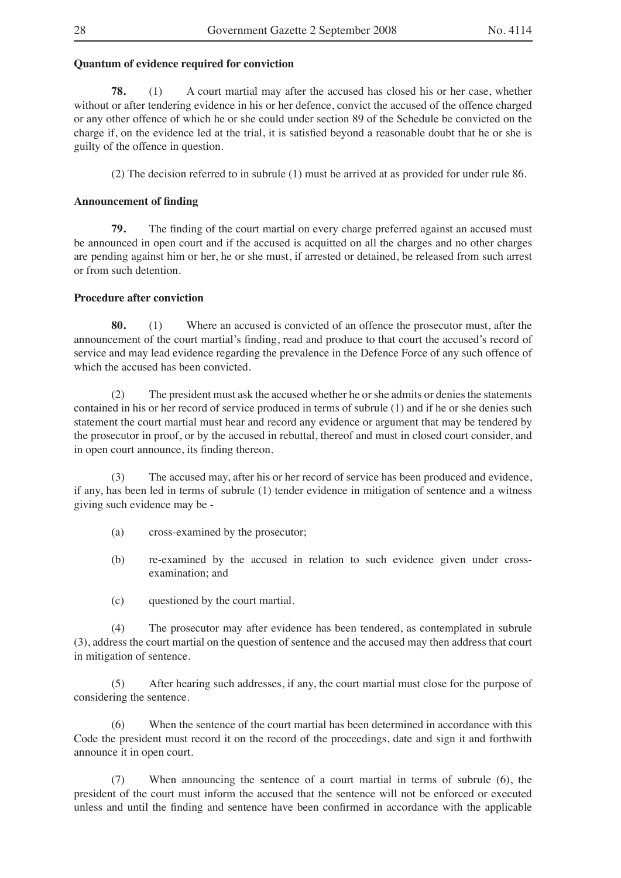## **Quantum of evidence required for conviction**

**78.** (1) A court martial may after the accused has closed his or her case, whether without or after tendering evidence in his or her defence, convict the accused of the offence charged or any other offence of which he or she could under section 89 of the Schedule be convicted on the charge if, on the evidence led at the trial, it is satisfied beyond a reasonable doubt that he or she is guilty of the offence in question.

(2) The decision referred to in subrule (1) must be arrived at as provided for under rule 86.

## **Announcement of finding**

**79.** The finding of the court martial on every charge preferred against an accused must be announced in open court and if the accused is acquitted on all the charges and no other charges are pending against him or her, he or she must, if arrested or detained, be released from such arrest or from such detention.

## **Procedure after conviction**

**80.** (1) Where an accused is convicted of an offence the prosecutor must, after the announcement of the court martial's finding, read and produce to that court the accused's record of service and may lead evidence regarding the prevalence in the Defence Force of any such offence of which the accused has been convicted.

(2) The president must ask the accused whether he or she admits or denies the statements contained in his or her record of service produced in terms of subrule (1) and if he or she denies such statement the court martial must hear and record any evidence or argument that may be tendered by the prosecutor in proof, or by the accused in rebuttal, thereof and must in closed court consider, and in open court announce, its finding thereon.

(3) The accused may, after his or her record of service has been produced and evidence, if any, has been led in terms of subrule (1) tender evidence in mitigation of sentence and a witness giving such evidence may be -

- (a) cross-examined by the prosecutor;
- (b) re-examined by the accused in relation to such evidence given under crossexamination; and
- (c) questioned by the court martial.

(4) The prosecutor may after evidence has been tendered, as contemplated in subrule (3), address the court martial on the question of sentence and the accused may then address that court in mitigation of sentence.

(5) After hearing such addresses, if any, the court martial must close for the purpose of considering the sentence.

(6) When the sentence of the court martial has been determined in accordance with this Code the president must record it on the record of the proceedings, date and sign it and forthwith announce it in open court.

(7) When announcing the sentence of a court martial in terms of subrule (6), the president of the court must inform the accused that the sentence will not be enforced or executed unless and until the finding and sentence have been confirmed in accordance with the applicable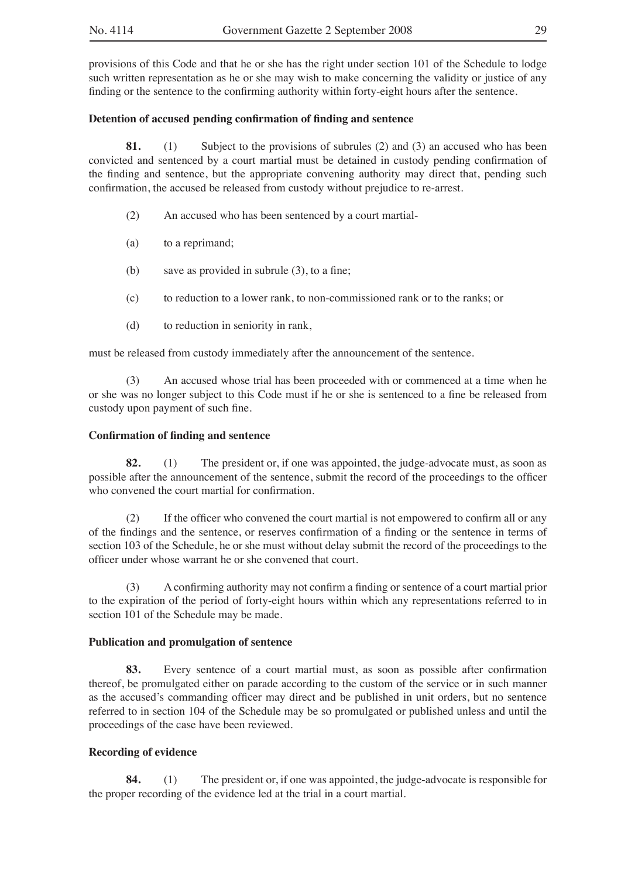provisions of this Code and that he or she has the right under section 101 of the Schedule to lodge such written representation as he or she may wish to make concerning the validity or justice of any finding or the sentence to the confirming authority within forty-eight hours after the sentence.

## **Detention of accused pending confirmation of finding and sentence**

**81.** (1) Subject to the provisions of subrules (2) and (3) an accused who has been convicted and sentenced by a court martial must be detained in custody pending confirmation of the finding and sentence, but the appropriate convening authority may direct that, pending such confirmation, the accused be released from custody without prejudice to re-arrest.

- (2) An accused who has been sentenced by a court martial-
- (a) to a reprimand;
- (b) save as provided in subrule (3), to a fine;
- (c) to reduction to a lower rank, to non-commissioned rank or to the ranks; or
- (d) to reduction in seniority in rank,

must be released from custody immediately after the announcement of the sentence.

(3) An accused whose trial has been proceeded with or commenced at a time when he or she was no longer subject to this Code must if he or she is sentenced to a fine be released from custody upon payment of such fine.

## **Confirmation of finding and sentence**

**82.** (1) The president or, if one was appointed, the judge-advocate must, as soon as possible after the announcement of the sentence, submit the record of the proceedings to the officer who convened the court martial for confirmation.

(2) If the officer who convened the court martial is not empowered to confirm all or any of the findings and the sentence, or reserves confirmation of a finding or the sentence in terms of section 103 of the Schedule, he or she must without delay submit the record of the proceedings to the officer under whose warrant he or she convened that court.

(3) A confirming authority may not confirm a finding or sentence of a court martial prior to the expiration of the period of forty-eight hours within which any representations referred to in section 101 of the Schedule may be made.

## **Publication and promulgation of sentence**

**83.** Every sentence of a court martial must, as soon as possible after confirmation thereof, be promulgated either on parade according to the custom of the service or in such manner as the accused's commanding officer may direct and be published in unit orders, but no sentence referred to in section 104 of the Schedule may be so promulgated or published unless and until the proceedings of the case have been reviewed.

## **Recording of evidence**

**84.** (1) The president or, if one was appointed, the judge-advocate is responsible for the proper recording of the evidence led at the trial in a court martial.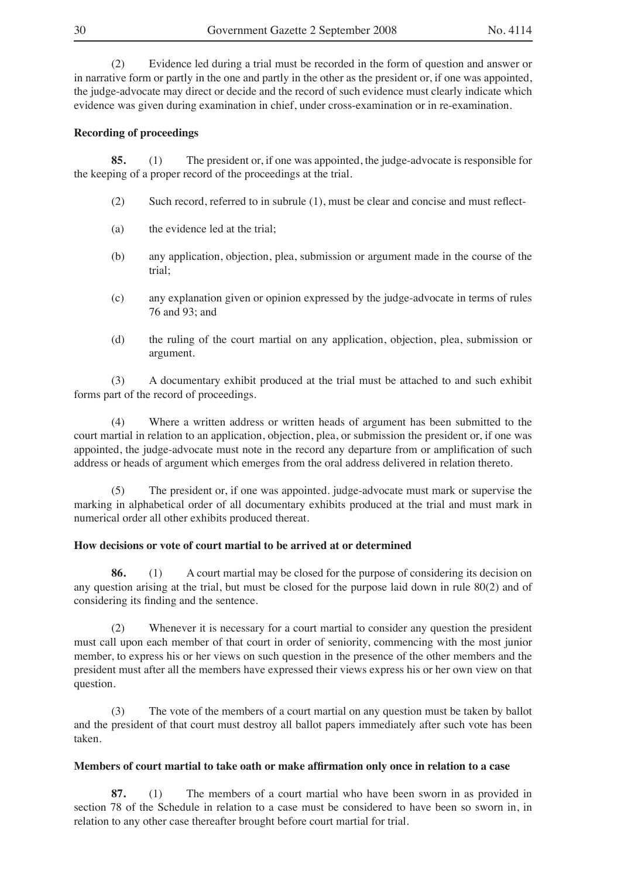(2) Evidence led during a trial must be recorded in the form of question and answer or in narrative form or partly in the one and partly in the other as the president or, if one was appointed, the judge-advocate may direct or decide and the record of such evidence must clearly indicate which evidence was given during examination in chief, under cross-examination or in re-examination.

## **Recording of proceedings**

**85.** (1) The president or, if one was appointed, the judge-advocate is responsible for the keeping of a proper record of the proceedings at the trial.

- (2) Such record, referred to in subrule (1), must be clear and concise and must reflect-
- (a) the evidence led at the trial;
- (b) any application, objection, plea, submission or argument made in the course of the trial;
- (c) any explanation given or opinion expressed by the judge-advocate in terms of rules 76 and 93; and
- (d) the ruling of the court martial on any application, objection, plea, submission or argument.

(3) A documentary exhibit produced at the trial must be attached to and such exhibit forms part of the record of proceedings.

(4) Where a written address or written heads of argument has been submitted to the court martial in relation to an application, objection, plea, or submission the president or, if one was appointed, the judge-advocate must note in the record any departure from or amplification of such address or heads of argument which emerges from the oral address delivered in relation thereto.

(5) The president or, if one was appointed. judge-advocate must mark or supervise the marking in alphabetical order of all documentary exhibits produced at the trial and must mark in numerical order all other exhibits produced thereat.

## **How decisions or vote of court martial to be arrived at or determined**

**86.** (1) A court martial may be closed for the purpose of considering its decision on any question arising at the trial, but must be closed for the purpose laid down in rule 80(2) and of considering its finding and the sentence.

(2) Whenever it is necessary for a court martial to consider any question the president must call upon each member of that court in order of seniority, commencing with the most junior member, to express his or her views on such question in the presence of the other members and the president must after all the members have expressed their views express his or her own view on that question.

(3) The vote of the members of a court martial on any question must be taken by ballot and the president of that court must destroy all ballot papers immediately after such vote has been taken.

#### **Members of court martial to take oath or make affirmation only once in relation to a case**

**87.** (1) The members of a court martial who have been sworn in as provided in section 78 of the Schedule in relation to a case must be considered to have been so sworn in, in relation to any other case thereafter brought before court martial for trial.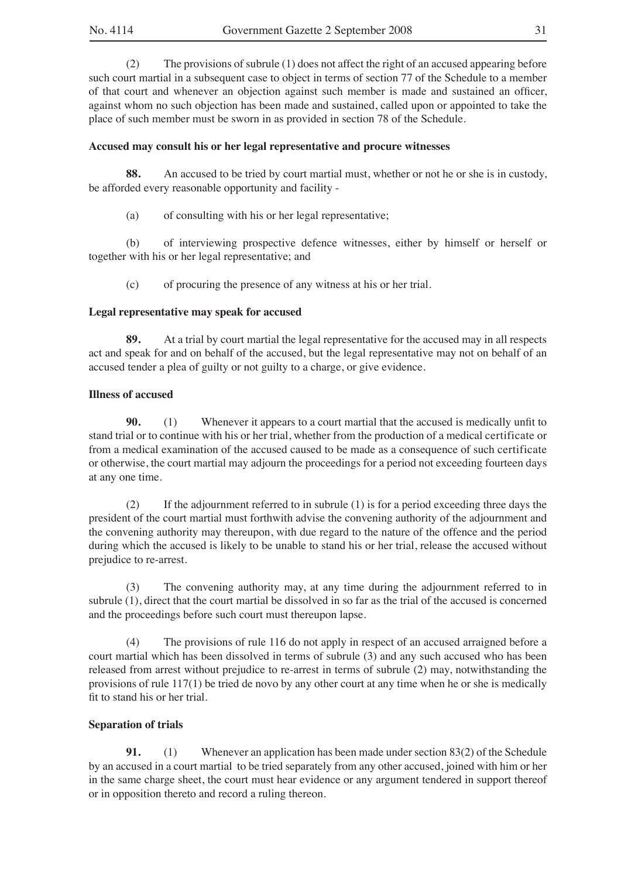(2) The provisions of subrule (1) does not affect the right of an accused appearing before such court martial in a subsequent case to object in terms of section 77 of the Schedule to a member of that court and whenever an objection against such member is made and sustained an officer, against whom no such objection has been made and sustained, called upon or appointed to take the place of such member must be sworn in as provided in section 78 of the Schedule.

## **Accused may consult his or her legal representative and procure witnesses**

**88.** An accused to be tried by court martial must, whether or not he or she is in custody, be afforded every reasonable opportunity and facility -

(a) of consulting with his or her legal representative;

(b) of interviewing prospective defence witnesses, either by himself or herself or together with his or her legal representative; and

(c) of procuring the presence of any witness at his or her trial.

#### **Legal representative may speak for accused**

**89.** At a trial by court martial the legal representative for the accused may in all respects act and speak for and on behalf of the accused, but the legal representative may not on behalf of an accused tender a plea of guilty or not guilty to a charge, or give evidence.

#### **Illness of accused**

**90.** (1) Whenever it appears to a court martial that the accused is medically unfit to stand trial or to continue with his or her trial, whether from the production of a medical certificate or from a medical examination of the accused caused to be made as a consequence of such certificate or otherwise, the court martial may adjourn the proceedings for a period not exceeding fourteen days at any one time.

(2) If the adjournment referred to in subrule (1) is for a period exceeding three days the president of the court martial must forthwith advise the convening authority of the adjournment and the convening authority may thereupon, with due regard to the nature of the offence and the period during which the accused is likely to be unable to stand his or her trial, release the accused without prejudice to re-arrest.

(3) The convening authority may, at any time during the adjournment referred to in subrule (1), direct that the court martial be dissolved in so far as the trial of the accused is concerned and the proceedings before such court must thereupon lapse.

(4) The provisions of rule 116 do not apply in respect of an accused arraigned before a court martial which has been dissolved in terms of subrule (3) and any such accused who has been released from arrest without prejudice to re-arrest in terms of subrule (2) may, notwithstanding the provisions of rule 117(1) be tried de novo by any other court at any time when he or she is medically fit to stand his or her trial.

## **Separation of trials**

**91.** (1) Whenever an application has been made under section 83(2) of the Schedule by an accused in a court martial to be tried separately from any other accused, joined with him or her in the same charge sheet, the court must hear evidence or any argument tendered in support thereof or in opposition thereto and record a ruling thereon.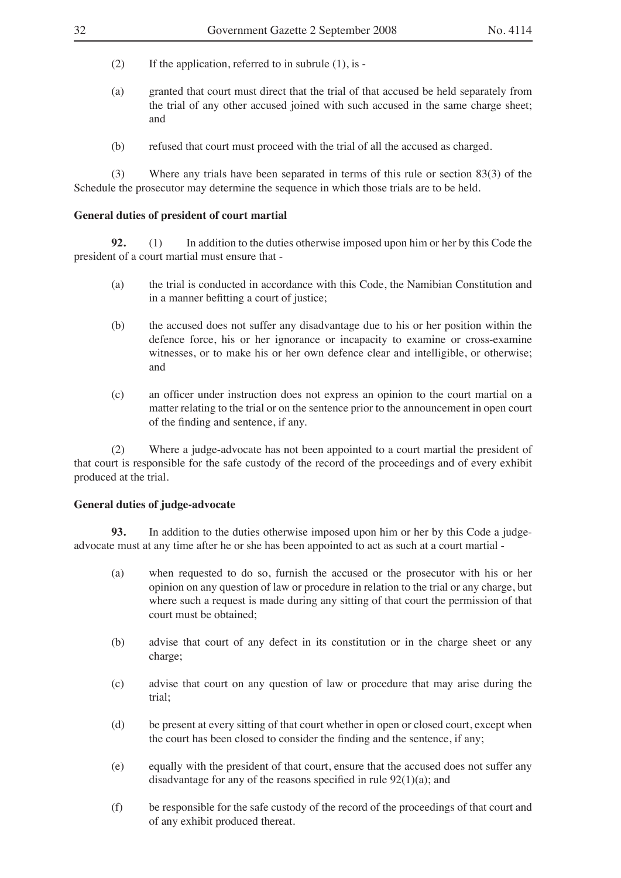- (2) If the application, referred to in subrule  $(1)$ , is -
- (a) granted that court must direct that the trial of that accused be held separately from the trial of any other accused joined with such accused in the same charge sheet; and
- (b) refused that court must proceed with the trial of all the accused as charged.

(3) Where any trials have been separated in terms of this rule or section 83(3) of the Schedule the prosecutor may determine the sequence in which those trials are to be held.

## **General duties of president of court martial**

**92.** (1) In addition to the duties otherwise imposed upon him or her by this Code the president of a court martial must ensure that -

- (a) the trial is conducted in accordance with this Code, the Namibian Constitution and in a manner befitting a court of justice;
- (b) the accused does not suffer any disadvantage due to his or her position within the defence force, his or her ignorance or incapacity to examine or cross-examine witnesses, or to make his or her own defence clear and intelligible, or otherwise; and
- (c) an officer under instruction does not express an opinion to the court martial on a matter relating to the trial or on the sentence prior to the announcement in open court of the finding and sentence, if any.

(2) Where a judge-advocate has not been appointed to a court martial the president of that court is responsible for the safe custody of the record of the proceedings and of every exhibit produced at the trial.

## **General duties of judge-advocate**

**93.** In addition to the duties otherwise imposed upon him or her by this Code a judgeadvocate must at any time after he or she has been appointed to act as such at a court martial -

- (a) when requested to do so, furnish the accused or the prosecutor with his or her opinion on any question of law or procedure in relation to the trial or any charge, but where such a request is made during any sitting of that court the permission of that court must be obtained;
- (b) advise that court of any defect in its constitution or in the charge sheet or any charge;
- (c) advise that court on any question of law or procedure that may arise during the trial;
- (d) be present at every sitting of that court whether in open or closed court, except when the court has been closed to consider the finding and the sentence, if any;
- (e) equally with the president of that court, ensure that the accused does not suffer any disadvantage for any of the reasons specified in rule 92(1)(a); and
- (f) be responsible for the safe custody of the record of the proceedings of that court and of any exhibit produced thereat.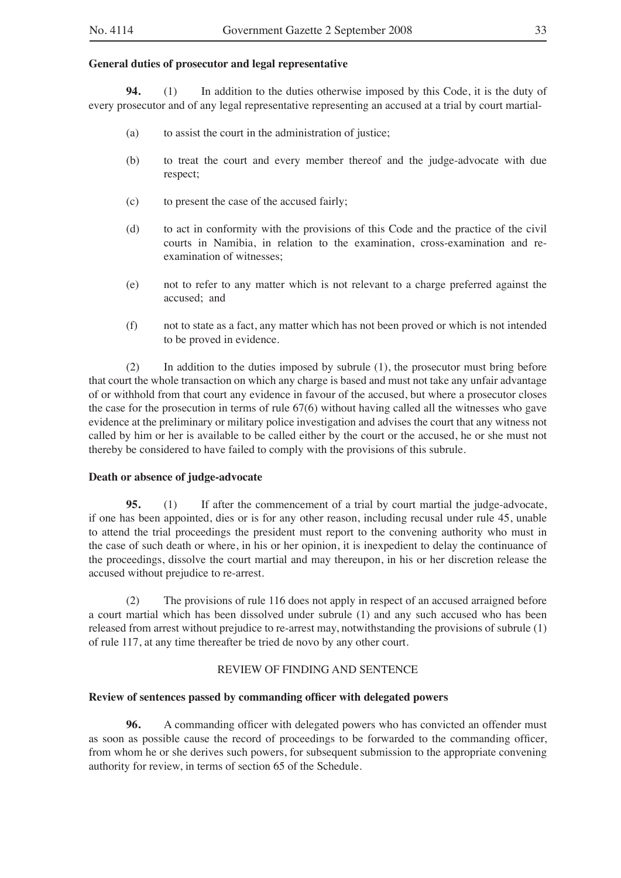## **General duties of prosecutor and legal representative**

**94.** (1) In addition to the duties otherwise imposed by this Code, it is the duty of every prosecutor and of any legal representative representing an accused at a trial by court martial-

- (a) to assist the court in the administration of justice;
- (b) to treat the court and every member thereof and the judge-advocate with due respect;
- (c) to present the case of the accused fairly;
- (d) to act in conformity with the provisions of this Code and the practice of the civil courts in Namibia, in relation to the examination, cross-examination and reexamination of witnesses;
- (e) not to refer to any matter which is not relevant to a charge preferred against the accused; and
- (f) not to state as a fact, any matter which has not been proved or which is not intended to be proved in evidence.

(2) In addition to the duties imposed by subrule (1), the prosecutor must bring before that court the whole transaction on which any charge is based and must not take any unfair advantage of or withhold from that court any evidence in favour of the accused, but where a prosecutor closes the case for the prosecution in terms of rule 67(6) without having called all the witnesses who gave evidence at the preliminary or military police investigation and advises the court that any witness not called by him or her is available to be called either by the court or the accused, he or she must not thereby be considered to have failed to comply with the provisions of this subrule.

#### **Death or absence of judge-advocate**

**95.** (1) If after the commencement of a trial by court martial the judge-advocate, if one has been appointed, dies or is for any other reason, including recusal under rule 45, unable to attend the trial proceedings the president must report to the convening authority who must in the case of such death or where, in his or her opinion, it is inexpedient to delay the continuance of the proceedings, dissolve the court martial and may thereupon, in his or her discretion release the accused without prejudice to re-arrest.

(2) The provisions of rule 116 does not apply in respect of an accused arraigned before a court martial which has been dissolved under subrule (1) and any such accused who has been released from arrest without prejudice to re-arrest may, notwithstanding the provisions of subrule (1) of rule 117, at any time thereafter be tried de novo by any other court.

#### REVIEW OF FINDING AND SENTENCE

#### **Review of sentences passed by commanding officer with delegated powers**

**96.** A commanding officer with delegated powers who has convicted an offender must as soon as possible cause the record of proceedings to be forwarded to the commanding officer, from whom he or she derives such powers, for subsequent submission to the appropriate convening authority for review, in terms of section 65 of the Schedule.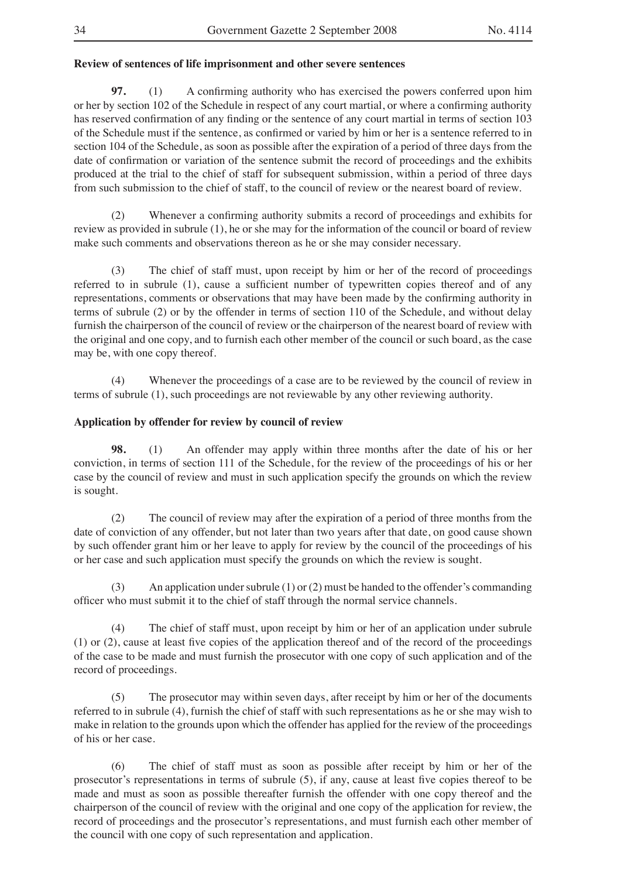## **Review of sentences of life imprisonment and other severe sentences**

**97.** (1) A confirming authority who has exercised the powers conferred upon him or her by section 102 of the Schedule in respect of any court martial, or where a confirming authority has reserved confirmation of any finding or the sentence of any court martial in terms of section 103 of the Schedule must if the sentence, as confirmed or varied by him or her is a sentence referred to in section 104 of the Schedule, as soon as possible after the expiration of a period of three days from the date of confirmation or variation of the sentence submit the record of proceedings and the exhibits produced at the trial to the chief of staff for subsequent submission, within a period of three days from such submission to the chief of staff, to the council of review or the nearest board of review.

(2) Whenever a confirming authority submits a record of proceedings and exhibits for review as provided in subrule (1), he or she may for the information of the council or board of review make such comments and observations thereon as he or she may consider necessary.

(3) The chief of staff must, upon receipt by him or her of the record of proceedings referred to in subrule (1), cause a sufficient number of typewritten copies thereof and of any representations, comments or observations that may have been made by the confirming authority in terms of subrule (2) or by the offender in terms of section 110 of the Schedule, and without delay furnish the chairperson of the council of review or the chairperson of the nearest board of review with the original and one copy, and to furnish each other member of the council or such board, as the case may be, with one copy thereof.

(4) Whenever the proceedings of a case are to be reviewed by the council of review in terms of subrule (1), such proceedings are not reviewable by any other reviewing authority.

## **Application by offender for review by council of review**

**98.** (1) An offender may apply within three months after the date of his or her conviction, in terms of section 111 of the Schedule, for the review of the proceedings of his or her case by the council of review and must in such application specify the grounds on which the review is sought.

(2) The council of review may after the expiration of a period of three months from the date of conviction of any offender, but not later than two years after that date, on good cause shown by such offender grant him or her leave to apply for review by the council of the proceedings of his or her case and such application must specify the grounds on which the review is sought.

(3) An application under subrule (1) or (2) must be handed to the offender's commanding officer who must submit it to the chief of staff through the normal service channels.

The chief of staff must, upon receipt by him or her of an application under subrule (1) or (2), cause at least five copies of the application thereof and of the record of the proceedings of the case to be made and must furnish the prosecutor with one copy of such application and of the record of proceedings.

(5) The prosecutor may within seven days, after receipt by him or her of the documents referred to in subrule (4), furnish the chief of staff with such representations as he or she may wish to make in relation to the grounds upon which the offender has applied for the review of the proceedings of his or her case.

(6) The chief of staff must as soon as possible after receipt by him or her of the prosecutor's representations in terms of subrule (5), if any, cause at least five copies thereof to be made and must as soon as possible thereafter furnish the offender with one copy thereof and the chairperson of the council of review with the original and one copy of the application for review, the record of proceedings and the prosecutor's representations, and must furnish each other member of the council with one copy of such representation and application.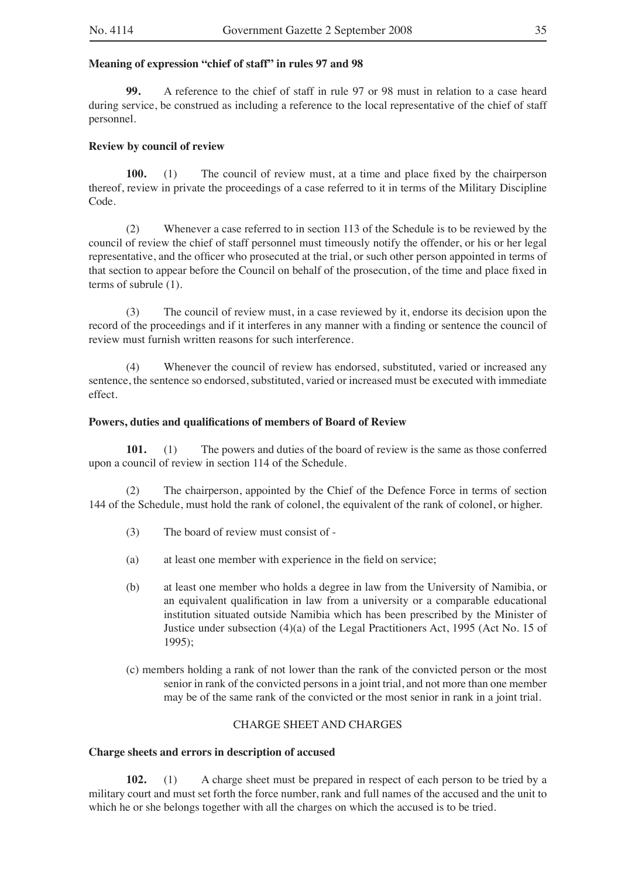## **Meaning of expression "chief of staff" in rules 97 and 98**

**99.** A reference to the chief of staff in rule 97 or 98 must in relation to a case heard during service, be construed as including a reference to the local representative of the chief of staff personnel.

## **Review by council of review**

**100.** (1) The council of review must, at a time and place fixed by the chairperson thereof, review in private the proceedings of a case referred to it in terms of the Military Discipline Code.

(2) Whenever a case referred to in section 113 of the Schedule is to be reviewed by the council of review the chief of staff personnel must timeously notify the offender, or his or her legal representative, and the officer who prosecuted at the trial, or such other person appointed in terms of that section to appear before the Council on behalf of the prosecution, of the time and place fixed in terms of subrule (1).

(3) The council of review must, in a case reviewed by it, endorse its decision upon the record of the proceedings and if it interferes in any manner with a finding or sentence the council of review must furnish written reasons for such interference.

(4) Whenever the council of review has endorsed, substituted, varied or increased any sentence, the sentence so endorsed, substituted, varied or increased must be executed with immediate effect.

## **Powers, duties and qualifications of members of Board of Review**

**101.** (1) The powers and duties of the board of review is the same as those conferred upon a council of review in section 114 of the Schedule.

(2) The chairperson, appointed by the Chief of the Defence Force in terms of section 144 of the Schedule, must hold the rank of colonel, the equivalent of the rank of colonel, or higher.

- (3) The board of review must consist of -
- (a) at least one member with experience in the field on service;
- (b) at least one member who holds a degree in law from the University of Namibia, or an equivalent qualification in law from a university or a comparable educational institution situated outside Namibia which has been prescribed by the Minister of Justice under subsection (4)(a) of the Legal Practitioners Act, 1995 (Act No. 15 of 1995);
- (c) members holding a rank of not lower than the rank of the convicted person or the most senior in rank of the convicted persons in a joint trial, and not more than one member may be of the same rank of the convicted or the most senior in rank in a joint trial.

## CHARGE SHEET AND CHARGES

## **Charge sheets and errors in description of accused**

**102.** (1) A charge sheet must be prepared in respect of each person to be tried by a military court and must set forth the force number, rank and full names of the accused and the unit to which he or she belongs together with all the charges on which the accused is to be tried.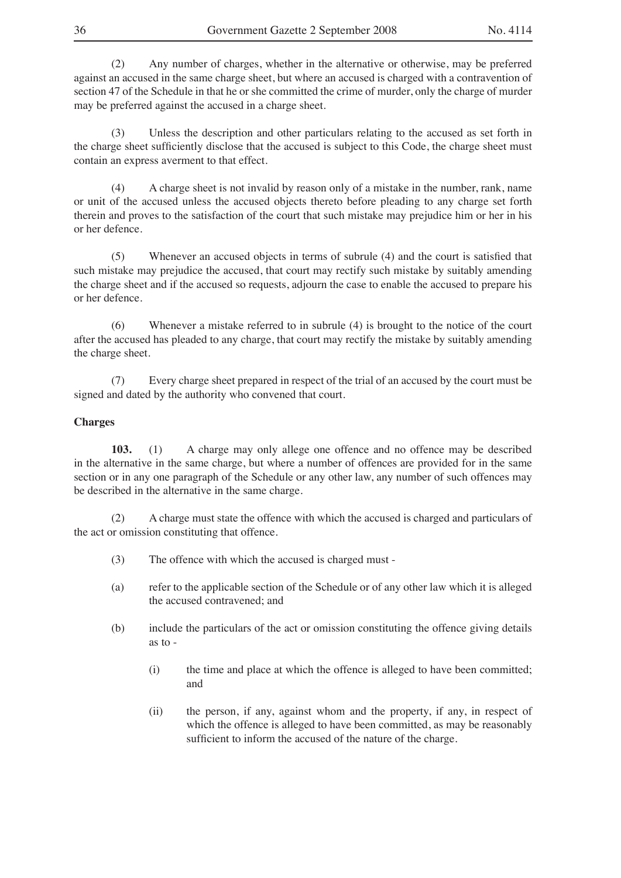(2) Any number of charges, whether in the alternative or otherwise, may be preferred against an accused in the same charge sheet, but where an accused is charged with a contravention of section 47 of the Schedule in that he or she committed the crime of murder, only the charge of murder may be preferred against the accused in a charge sheet.

(3) Unless the description and other particulars relating to the accused as set forth in the charge sheet sufficiently disclose that the accused is subject to this Code, the charge sheet must contain an express averment to that effect.

(4) A charge sheet is not invalid by reason only of a mistake in the number, rank, name or unit of the accused unless the accused objects thereto before pleading to any charge set forth therein and proves to the satisfaction of the court that such mistake may prejudice him or her in his or her defence.

(5) Whenever an accused objects in terms of subrule (4) and the court is satisfied that such mistake may prejudice the accused, that court may rectify such mistake by suitably amending the charge sheet and if the accused so requests, adjourn the case to enable the accused to prepare his or her defence.

(6) Whenever a mistake referred to in subrule (4) is brought to the notice of the court after the accused has pleaded to any charge, that court may rectify the mistake by suitably amending the charge sheet.

(7) Every charge sheet prepared in respect of the trial of an accused by the court must be signed and dated by the authority who convened that court.

## **Charges**

**103.** (1) A charge may only allege one offence and no offence may be described in the alternative in the same charge, but where a number of offences are provided for in the same section or in any one paragraph of the Schedule or any other law, any number of such offences may be described in the alternative in the same charge.

(2) A charge must state the offence with which the accused is charged and particulars of the act or omission constituting that offence.

- (3) The offence with which the accused is charged must -
- (a) refer to the applicable section of the Schedule or of any other law which it is alleged the accused contravened; and
- (b) include the particulars of the act or omission constituting the offence giving details as to -
	- (i) the time and place at which the offence is alleged to have been committed; and
	- (ii) the person, if any, against whom and the property, if any, in respect of which the offence is alleged to have been committed, as may be reasonably sufficient to inform the accused of the nature of the charge.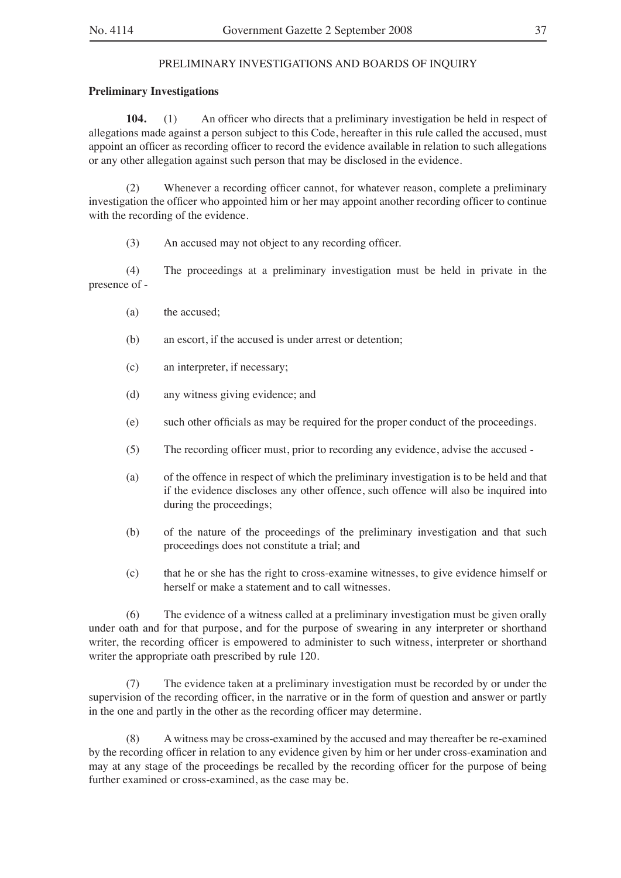## PRELIMINARY INVESTIGATIONS AND BOARDS OF INQUIRY

## **Preliminary Investigations**

**104.** (1) An officer who directs that a preliminary investigation be held in respect of allegations made against a person subject to this Code, hereafter in this rule called the accused, must appoint an officer as recording officer to record the evidence available in relation to such allegations or any other allegation against such person that may be disclosed in the evidence.

(2) Whenever a recording officer cannot, for whatever reason, complete a preliminary investigation the officer who appointed him or her may appoint another recording officer to continue with the recording of the evidence.

(3) An accused may not object to any recording officer.

(4) The proceedings at a preliminary investigation must be held in private in the presence of -

- (a) the accused;
- (b) an escort, if the accused is under arrest or detention;
- (c) an interpreter, if necessary;
- (d) any witness giving evidence; and
- (e) such other officials as may be required for the proper conduct of the proceedings.
- (5) The recording officer must, prior to recording any evidence, advise the accused -
- (a) of the offence in respect of which the preliminary investigation is to be held and that if the evidence discloses any other offence, such offence will also be inquired into during the proceedings;
- (b) of the nature of the proceedings of the preliminary investigation and that such proceedings does not constitute a trial; and
- (c) that he or she has the right to cross-examine witnesses, to give evidence himself or herself or make a statement and to call witnesses.

(6) The evidence of a witness called at a preliminary investigation must be given orally under oath and for that purpose, and for the purpose of swearing in any interpreter or shorthand writer, the recording officer is empowered to administer to such witness, interpreter or shorthand writer the appropriate oath prescribed by rule 120.

(7) The evidence taken at a preliminary investigation must be recorded by or under the supervision of the recording officer, in the narrative or in the form of question and answer or partly in the one and partly in the other as the recording officer may determine.

(8) A witness may be cross-examined by the accused and may thereafter be re-examined by the recording officer in relation to any evidence given by him or her under cross-examination and may at any stage of the proceedings be recalled by the recording officer for the purpose of being further examined or cross-examined, as the case may be.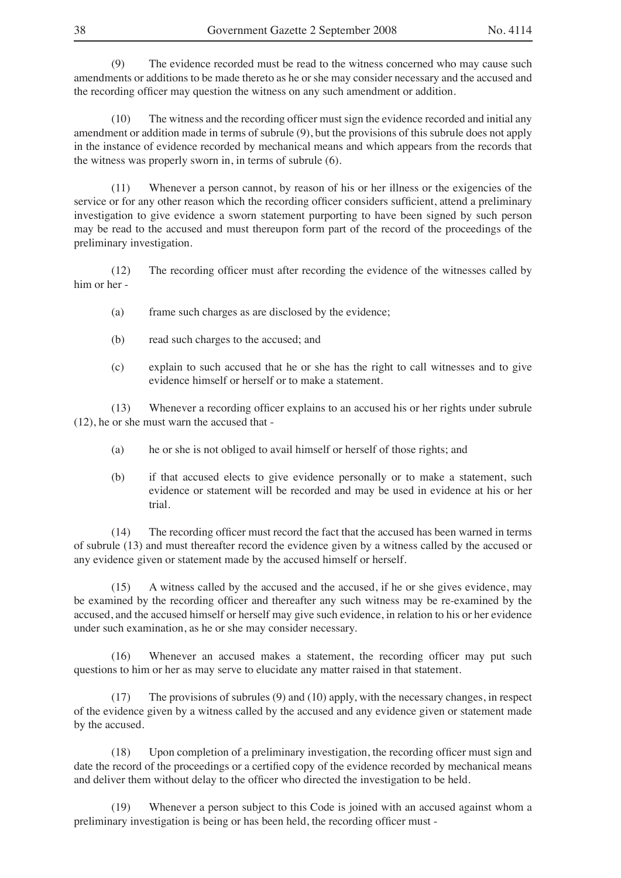(9) The evidence recorded must be read to the witness concerned who may cause such amendments or additions to be made thereto as he or she may consider necessary and the accused and the recording officer may question the witness on any such amendment or addition.

(10) The witness and the recording officer must sign the evidence recorded and initial any amendment or addition made in terms of subrule (9), but the provisions of this subrule does not apply in the instance of evidence recorded by mechanical means and which appears from the records that the witness was properly sworn in, in terms of subrule (6).

(11) Whenever a person cannot, by reason of his or her illness or the exigencies of the service or for any other reason which the recording officer considers sufficient, attend a preliminary investigation to give evidence a sworn statement purporting to have been signed by such person may be read to the accused and must thereupon form part of the record of the proceedings of the preliminary investigation.

(12) The recording officer must after recording the evidence of the witnesses called by him or her -

- (a) frame such charges as are disclosed by the evidence;
- (b) read such charges to the accused; and
- (c) explain to such accused that he or she has the right to call witnesses and to give evidence himself or herself or to make a statement.

(13) Whenever a recording officer explains to an accused his or her rights under subrule (12), he or she must warn the accused that -

- (a) he or she is not obliged to avail himself or herself of those rights; and
- (b) if that accused elects to give evidence personally or to make a statement, such evidence or statement will be recorded and may be used in evidence at his or her trial.

(14) The recording officer must record the fact that the accused has been warned in terms of subrule (13) and must thereafter record the evidence given by a witness called by the accused or any evidence given or statement made by the accused himself or herself.

(15) A witness called by the accused and the accused, if he or she gives evidence, may be examined by the recording officer and thereafter any such witness may be re-examined by the accused, and the accused himself or herself may give such evidence, in relation to his or her evidence under such examination, as he or she may consider necessary.

(16) Whenever an accused makes a statement, the recording officer may put such questions to him or her as may serve to elucidate any matter raised in that statement.

(17) The provisions of subrules (9) and (10) apply, with the necessary changes, in respect of the evidence given by a witness called by the accused and any evidence given or statement made by the accused.

(18) Upon completion of a preliminary investigation, the recording officer must sign and date the record of the proceedings or a certified copy of the evidence recorded by mechanical means and deliver them without delay to the officer who directed the investigation to be held.

(19) Whenever a person subject to this Code is joined with an accused against whom a preliminary investigation is being or has been held, the recording officer must -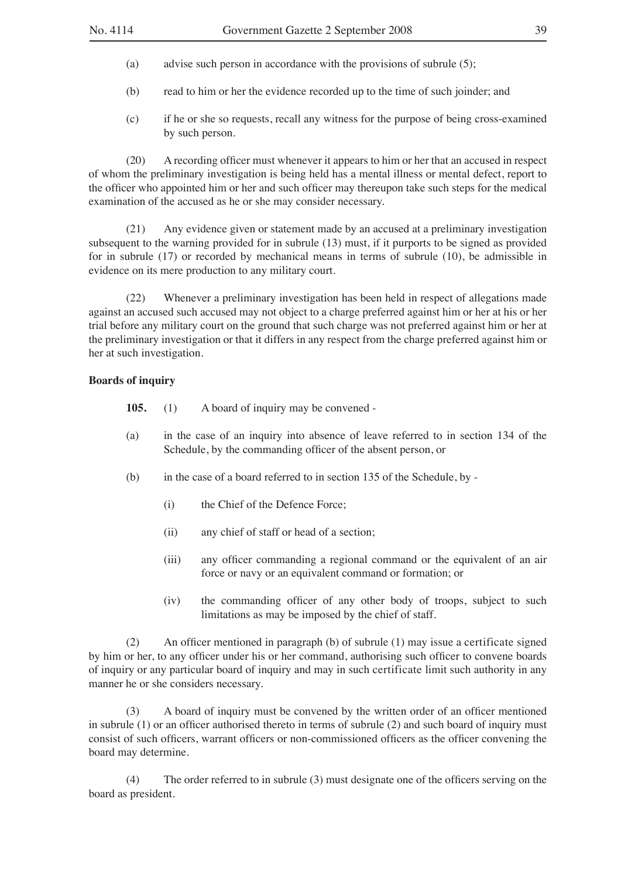- (a) advise such person in accordance with the provisions of subrule (5);
- (b) read to him or her the evidence recorded up to the time of such joinder; and
- (c) if he or she so requests, recall any witness for the purpose of being cross-examined by such person.

(20) A recording officer must whenever it appears to him or her that an accused in respect of whom the preliminary investigation is being held has a mental illness or mental defect, report to the officer who appointed him or her and such officer may thereupon take such steps for the medical examination of the accused as he or she may consider necessary.

(21) Any evidence given or statement made by an accused at a preliminary investigation subsequent to the warning provided for in subrule (13) must, if it purports to be signed as provided for in subrule (17) or recorded by mechanical means in terms of subrule (10), be admissible in evidence on its mere production to any military court.

(22) Whenever a preliminary investigation has been held in respect of allegations made against an accused such accused may not object to a charge preferred against him or her at his or her trial before any military court on the ground that such charge was not preferred against him or her at the preliminary investigation or that it differs in any respect from the charge preferred against him or her at such investigation.

#### **Boards of inquiry**

- **105.** (1) A board of inquiry may be convened -
- (a) in the case of an inquiry into absence of leave referred to in section 134 of the Schedule, by the commanding officer of the absent person, or
- (b) in the case of a board referred to in section 135 of the Schedule, by
	- (i) the Chief of the Defence Force;
	- (ii) any chief of staff or head of a section;
	- (iii) any officer commanding a regional command or the equivalent of an air force or navy or an equivalent command or formation; or
	- (iv) the commanding officer of any other body of troops, subject to such limitations as may be imposed by the chief of staff.

(2) An officer mentioned in paragraph (b) of subrule (1) may issue a certificate signed by him or her, to any officer under his or her command, authorising such officer to convene boards of inquiry or any particular board of inquiry and may in such certificate limit such authority in any manner he or she considers necessary.

(3) A board of inquiry must be convened by the written order of an officer mentioned in subrule (1) or an officer authorised thereto in terms of subrule (2) and such board of inquiry must consist of such officers, warrant officers or non-commissioned officers as the officer convening the board may determine.

(4) The order referred to in subrule (3) must designate one of the officers serving on the board as president.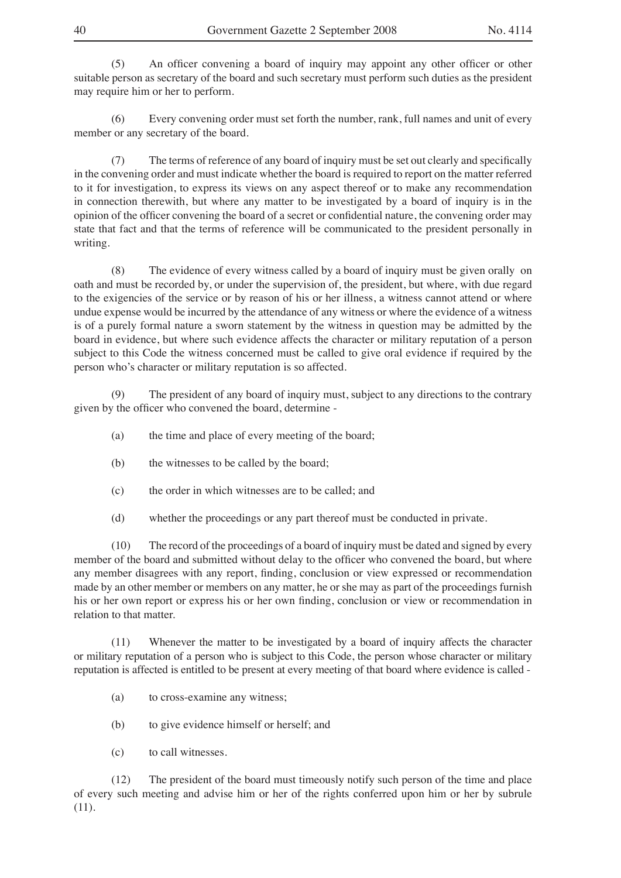(5) An officer convening a board of inquiry may appoint any other officer or other suitable person as secretary of the board and such secretary must perform such duties as the president may require him or her to perform.

(6) Every convening order must set forth the number, rank, full names and unit of every member or any secretary of the board.

(7) The terms of reference of any board of inquiry must be set out clearly and specifically in the convening order and must indicate whether the board is required to report on the matter referred to it for investigation, to express its views on any aspect thereof or to make any recommendation in connection therewith, but where any matter to be investigated by a board of inquiry is in the opinion of the officer convening the board of a secret or confidential nature, the convening order may state that fact and that the terms of reference will be communicated to the president personally in writing.

(8) The evidence of every witness called by a board of inquiry must be given orally on oath and must be recorded by, or under the supervision of, the president, but where, with due regard to the exigencies of the service or by reason of his or her illness, a witness cannot attend or where undue expense would be incurred by the attendance of any witness or where the evidence of a witness is of a purely formal nature a sworn statement by the witness in question may be admitted by the board in evidence, but where such evidence affects the character or military reputation of a person subject to this Code the witness concerned must be called to give oral evidence if required by the person who's character or military reputation is so affected.

The president of any board of inquiry must, subject to any directions to the contrary given by the officer who convened the board, determine -

- (a) the time and place of every meeting of the board;
- (b) the witnesses to be called by the board;
- (c) the order in which witnesses are to be called; and
- (d) whether the proceedings or any part thereof must be conducted in private.

(10) The record of the proceedings of a board of inquiry must be dated and signed by every member of the board and submitted without delay to the officer who convened the board, but where any member disagrees with any report, finding, conclusion or view expressed or recommendation made by an other member or members on any matter, he or she may as part of the proceedings furnish his or her own report or express his or her own finding, conclusion or view or recommendation in relation to that matter.

(11) Whenever the matter to be investigated by a board of inquiry affects the character or military reputation of a person who is subject to this Code, the person whose character or military reputation is affected is entitled to be present at every meeting of that board where evidence is called -

- (a) to cross-examine any witness;
- (b) to give evidence himself or herself; and
- (c) to call witnesses.

(12) The president of the board must timeously notify such person of the time and place of every such meeting and advise him or her of the rights conferred upon him or her by subrule (11).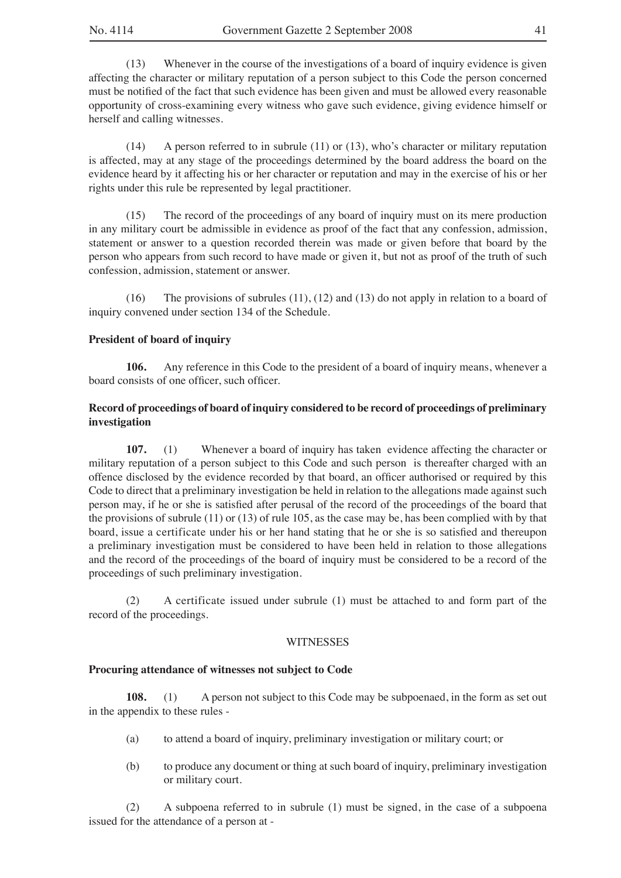(13) Whenever in the course of the investigations of a board of inquiry evidence is given affecting the character or military reputation of a person subject to this Code the person concerned must be notified of the fact that such evidence has been given and must be allowed every reasonable opportunity of cross-examining every witness who gave such evidence, giving evidence himself or herself and calling witnesses.

(14) A person referred to in subrule (11) or (13), who's character or military reputation is affected, may at any stage of the proceedings determined by the board address the board on the evidence heard by it affecting his or her character or reputation and may in the exercise of his or her rights under this rule be represented by legal practitioner.

(15) The record of the proceedings of any board of inquiry must on its mere production in any military court be admissible in evidence as proof of the fact that any confession, admission, statement or answer to a question recorded therein was made or given before that board by the person who appears from such record to have made or given it, but not as proof of the truth of such confession, admission, statement or answer.

(16) The provisions of subrules (11), (12) and (13) do not apply in relation to a board of inquiry convened under section 134 of the Schedule.

#### **President of board of inquiry**

**106.** Any reference in this Code to the president of a board of inquiry means, whenever a board consists of one officer, such officer.

## **Record of proceedings of board of inquiry considered to be record of proceedings of preliminary investigation**

**107.** (1) Whenever a board of inquiry has taken evidence affecting the character or military reputation of a person subject to this Code and such person is thereafter charged with an offence disclosed by the evidence recorded by that board, an officer authorised or required by this Code to direct that a preliminary investigation be held in relation to the allegations made against such person may, if he or she is satisfied after perusal of the record of the proceedings of the board that the provisions of subrule (11) or (13) of rule 105, as the case may be, has been complied with by that board, issue a certificate under his or her hand stating that he or she is so satisfied and thereupon a preliminary investigation must be considered to have been held in relation to those allegations and the record of the proceedings of the board of inquiry must be considered to be a record of the proceedings of such preliminary investigation.

(2) A certificate issued under subrule (1) must be attached to and form part of the record of the proceedings.

#### **WITNESSES**

#### **Procuring attendance of witnesses not subject to Code**

**108.** (1) A person not subject to this Code may be subpoenaed, in the form as set out in the appendix to these rules -

- (a) to attend a board of inquiry, preliminary investigation or military court; or
- (b) to produce any document or thing at such board of inquiry, preliminary investigation or military court.

(2) A subpoena referred to in subrule (1) must be signed, in the case of a subpoena issued for the attendance of a person at -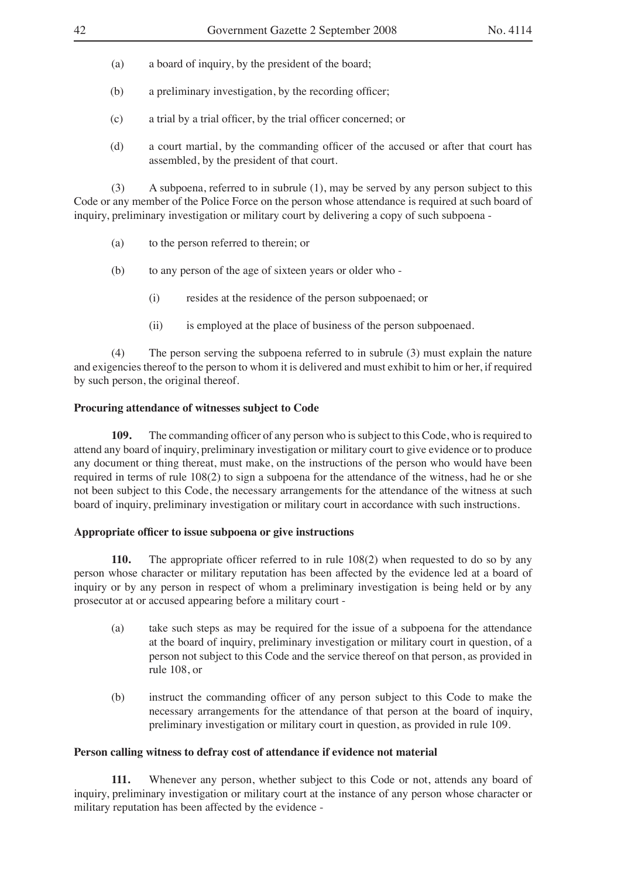- (a) a board of inquiry, by the president of the board;
- (b) a preliminary investigation, by the recording officer;
- (c) a trial by a trial officer, by the trial officer concerned; or
- (d) a court martial, by the commanding officer of the accused or after that court has assembled, by the president of that court.

(3) A subpoena, referred to in subrule (1), may be served by any person subject to this Code or any member of the Police Force on the person whose attendance is required at such board of inquiry, preliminary investigation or military court by delivering a copy of such subpoena -

- (a) to the person referred to therein; or
- (b) to any person of the age of sixteen years or older who
	- (i) resides at the residence of the person subpoenaed; or
	- (ii) is employed at the place of business of the person subpoenaed.

(4) The person serving the subpoena referred to in subrule (3) must explain the nature and exigencies thereof to the person to whom it is delivered and must exhibit to him or her, if required by such person, the original thereof.

## **Procuring attendance of witnesses subject to Code**

**109.** The commanding officer of any person who is subject to this Code, who is required to attend any board of inquiry, preliminary investigation or military court to give evidence or to produce any document or thing thereat, must make, on the instructions of the person who would have been required in terms of rule 108(2) to sign a subpoena for the attendance of the witness, had he or she not been subject to this Code, the necessary arrangements for the attendance of the witness at such board of inquiry, preliminary investigation or military court in accordance with such instructions.

## **Appropriate officer to issue subpoena or give instructions**

**110.** The appropriate officer referred to in rule 108(2) when requested to do so by any person whose character or military reputation has been affected by the evidence led at a board of inquiry or by any person in respect of whom a preliminary investigation is being held or by any prosecutor at or accused appearing before a military court -

- (a) take such steps as may be required for the issue of a subpoena for the attendance at the board of inquiry, preliminary investigation or military court in question, of a person not subject to this Code and the service thereof on that person, as provided in rule 108, or
- (b) instruct the commanding officer of any person subject to this Code to make the necessary arrangements for the attendance of that person at the board of inquiry, preliminary investigation or military court in question, as provided in rule 109.

## **Person calling witness to defray cost of attendance if evidence not material**

**111.** Whenever any person, whether subject to this Code or not, attends any board of inquiry, preliminary investigation or military court at the instance of any person whose character or military reputation has been affected by the evidence -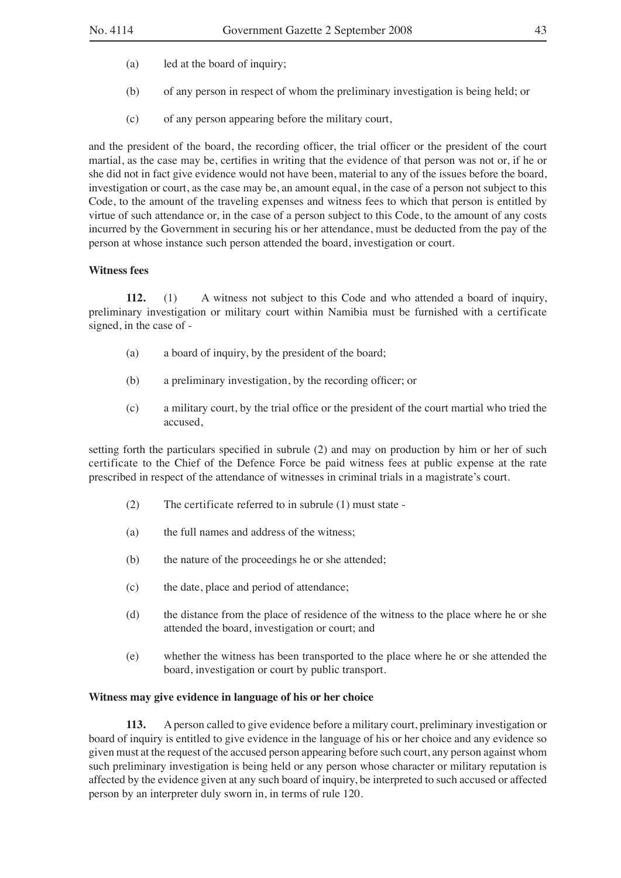- (a) led at the board of inquiry;
- (b) of any person in respect of whom the preliminary investigation is being held; or
- (c) of any person appearing before the military court,

and the president of the board, the recording officer, the trial officer or the president of the court martial, as the case may be, certifies in writing that the evidence of that person was not or, if he or she did not in fact give evidence would not have been, material to any of the issues before the board, investigation or court, as the case may be, an amount equal, in the case of a person not subject to this Code, to the amount of the traveling expenses and witness fees to which that person is entitled by virtue of such attendance or, in the case of a person subject to this Code, to the amount of any costs incurred by the Government in securing his or her attendance, must be deducted from the pay of the person at whose instance such person attended the board, investigation or court.

## **Witness fees**

**112.** (1) A witness not subject to this Code and who attended a board of inquiry, preliminary investigation or military court within Namibia must be furnished with a certificate signed, in the case of -

- (a) a board of inquiry, by the president of the board;
- (b) a preliminary investigation, by the recording officer; or
- (c) a military court, by the trial office or the president of the court martial who tried the accused,

setting forth the particulars specified in subrule (2) and may on production by him or her of such certificate to the Chief of the Defence Force be paid witness fees at public expense at the rate prescribed in respect of the attendance of witnesses in criminal trials in a magistrate's court.

- (2) The certificate referred to in subrule (1) must state -
- (a) the full names and address of the witness;
- (b) the nature of the proceedings he or she attended;
- (c) the date, place and period of attendance;
- (d) the distance from the place of residence of the witness to the place where he or she attended the board, investigation or court; and
- (e) whether the witness has been transported to the place where he or she attended the board, investigation or court by public transport.

## **Witness may give evidence in language of his or her choice**

**113.** A person called to give evidence before a military court, preliminary investigation or board of inquiry is entitled to give evidence in the language of his or her choice and any evidence so given must at the request of the accused person appearing before such court, any person against whom such preliminary investigation is being held or any person whose character or military reputation is affected by the evidence given at any such board of inquiry, be interpreted to such accused or affected person by an interpreter duly sworn in, in terms of rule 120.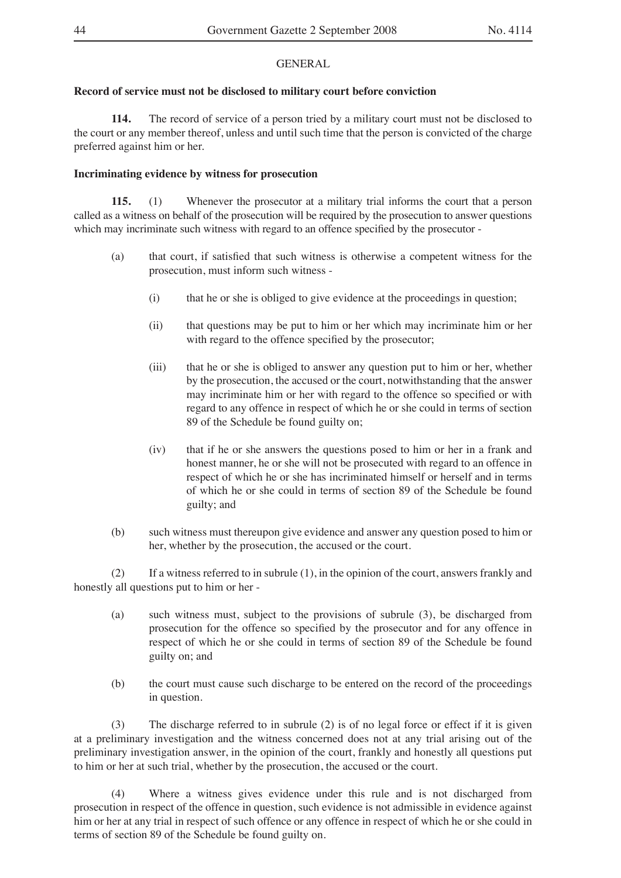## GENERAL

## **Record of service must not be disclosed to military court before conviction**

**114.** The record of service of a person tried by a military court must not be disclosed to the court or any member thereof, unless and until such time that the person is convicted of the charge preferred against him or her.

## **Incriminating evidence by witness for prosecution**

**115.** (1) Whenever the prosecutor at a military trial informs the court that a person called as a witness on behalf of the prosecution will be required by the prosecution to answer questions which may incriminate such witness with regard to an offence specified by the prosecutor -

- (a) that court, if satisfied that such witness is otherwise a competent witness for the prosecution, must inform such witness -
	- (i) that he or she is obliged to give evidence at the proceedings in question;
	- (ii) that questions may be put to him or her which may incriminate him or her with regard to the offence specified by the prosecutor;
	- (iii) that he or she is obliged to answer any question put to him or her, whether by the prosecution, the accused or the court, notwithstanding that the answer may incriminate him or her with regard to the offence so specified or with regard to any offence in respect of which he or she could in terms of section 89 of the Schedule be found guilty on;
	- (iv) that if he or she answers the questions posed to him or her in a frank and honest manner, he or she will not be prosecuted with regard to an offence in respect of which he or she has incriminated himself or herself and in terms of which he or she could in terms of section 89 of the Schedule be found guilty; and
- (b) such witness must thereupon give evidence and answer any question posed to him or her, whether by the prosecution, the accused or the court.

(2) If a witness referred to in subrule (1), in the opinion of the court, answers frankly and honestly all questions put to him or her -

- (a) such witness must, subject to the provisions of subrule (3), be discharged from prosecution for the offence so specified by the prosecutor and for any offence in respect of which he or she could in terms of section 89 of the Schedule be found guilty on; and
- (b) the court must cause such discharge to be entered on the record of the proceedings in question.

(3) The discharge referred to in subrule (2) is of no legal force or effect if it is given at a preliminary investigation and the witness concerned does not at any trial arising out of the preliminary investigation answer, in the opinion of the court, frankly and honestly all questions put to him or her at such trial, whether by the prosecution, the accused or the court.

(4) Where a witness gives evidence under this rule and is not discharged from prosecution in respect of the offence in question, such evidence is not admissible in evidence against him or her at any trial in respect of such offence or any offence in respect of which he or she could in terms of section 89 of the Schedule be found guilty on.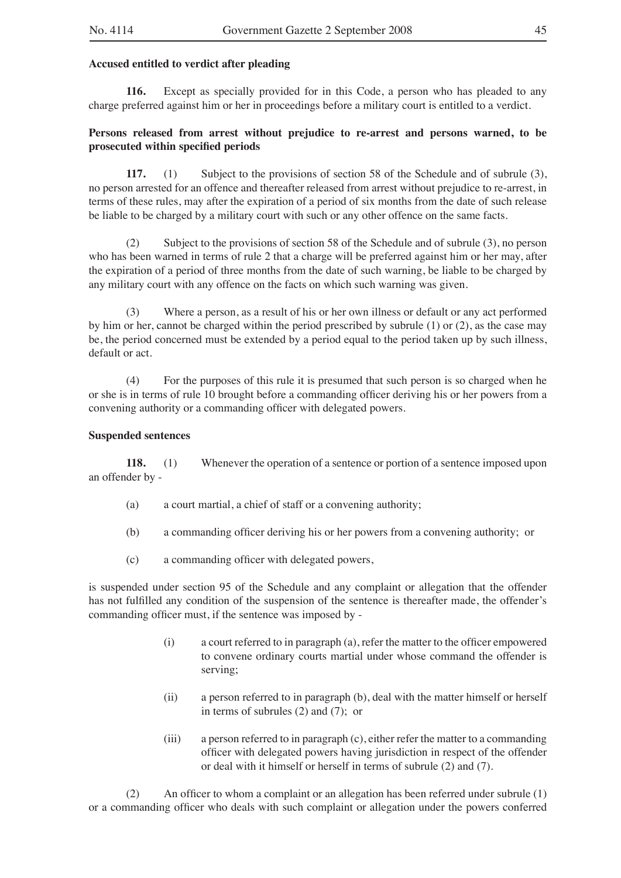#### **Accused entitled to verdict after pleading**

**116.** Except as specially provided for in this Code, a person who has pleaded to any charge preferred against him or her in proceedings before a military court is entitled to a verdict.

## **Persons released from arrest without prejudice to re-arrest and persons warned, to be prosecuted within specified periods**

**117.** (1) Subject to the provisions of section 58 of the Schedule and of subrule (3), no person arrested for an offence and thereafter released from arrest without prejudice to re-arrest, in terms of these rules, may after the expiration of a period of six months from the date of such release be liable to be charged by a military court with such or any other offence on the same facts.

(2) Subject to the provisions of section 58 of the Schedule and of subrule (3), no person who has been warned in terms of rule 2 that a charge will be preferred against him or her may, after the expiration of a period of three months from the date of such warning, be liable to be charged by any military court with any offence on the facts on which such warning was given.

(3) Where a person, as a result of his or her own illness or default or any act performed by him or her, cannot be charged within the period prescribed by subrule (1) or (2), as the case may be, the period concerned must be extended by a period equal to the period taken up by such illness, default or act.

(4) For the purposes of this rule it is presumed that such person is so charged when he or she is in terms of rule 10 brought before a commanding officer deriving his or her powers from a convening authority or a commanding officer with delegated powers.

#### **Suspended sentences**

**118.** (1) Whenever the operation of a sentence or portion of a sentence imposed upon an offender by -

- (a) a court martial, a chief of staff or a convening authority;
- (b) a commanding officer deriving his or her powers from a convening authority; or
- (c) a commanding officer with delegated powers,

is suspended under section 95 of the Schedule and any complaint or allegation that the offender has not fulfilled any condition of the suspension of the sentence is thereafter made, the offender's commanding officer must, if the sentence was imposed by -

- (i) a court referred to in paragraph (a), refer the matter to the officer empowered to convene ordinary courts martial under whose command the offender is serving;
- (ii) a person referred to in paragraph (b), deal with the matter himself or herself in terms of subrules (2) and (7); or
- (iii) a person referred to in paragraph (c), either refer the matter to a commanding officer with delegated powers having jurisdiction in respect of the offender or deal with it himself or herself in terms of subrule (2) and (7).

(2) An officer to whom a complaint or an allegation has been referred under subrule (1) or a commanding officer who deals with such complaint or allegation under the powers conferred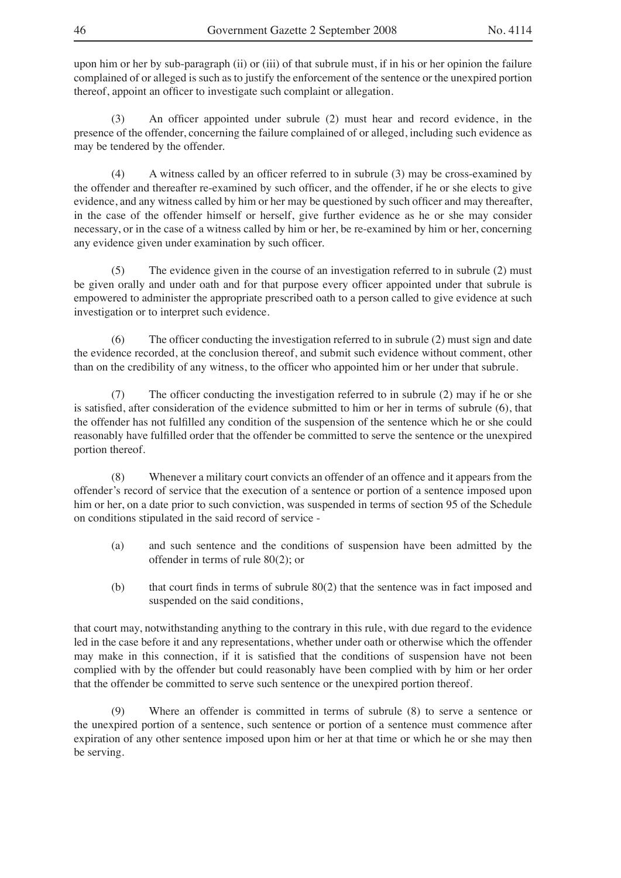upon him or her by sub-paragraph (ii) or (iii) of that subrule must, if in his or her opinion the failure complained of or alleged is such as to justify the enforcement of the sentence or the unexpired portion thereof, appoint an officer to investigate such complaint or allegation.

(3) An officer appointed under subrule (2) must hear and record evidence, in the presence of the offender, concerning the failure complained of or alleged, including such evidence as may be tendered by the offender.

(4) A witness called by an officer referred to in subrule (3) may be cross-examined by the offender and thereafter re-examined by such officer, and the offender, if he or she elects to give evidence, and any witness called by him or her may be questioned by such officer and may thereafter, in the case of the offender himself or herself, give further evidence as he or she may consider necessary, or in the case of a witness called by him or her, be re-examined by him or her, concerning any evidence given under examination by such officer.

(5) The evidence given in the course of an investigation referred to in subrule (2) must be given orally and under oath and for that purpose every officer appointed under that subrule is empowered to administer the appropriate prescribed oath to a person called to give evidence at such investigation or to interpret such evidence.

(6) The officer conducting the investigation referred to in subrule (2) must sign and date the evidence recorded, at the conclusion thereof, and submit such evidence without comment, other than on the credibility of any witness, to the officer who appointed him or her under that subrule.

(7) The officer conducting the investigation referred to in subrule (2) may if he or she is satisfied, after consideration of the evidence submitted to him or her in terms of subrule (6), that the offender has not fulfilled any condition of the suspension of the sentence which he or she could reasonably have fulfilled order that the offender be committed to serve the sentence or the unexpired portion thereof.

(8) Whenever a military court convicts an offender of an offence and it appears from the offender's record of service that the execution of a sentence or portion of a sentence imposed upon him or her, on a date prior to such conviction, was suspended in terms of section 95 of the Schedule on conditions stipulated in the said record of service -

- (a) and such sentence and the conditions of suspension have been admitted by the offender in terms of rule 80(2); or
- (b) that court finds in terms of subrule 80(2) that the sentence was in fact imposed and suspended on the said conditions,

that court may, notwithstanding anything to the contrary in this rule, with due regard to the evidence led in the case before it and any representations, whether under oath or otherwise which the offender may make in this connection, if it is satisfied that the conditions of suspension have not been complied with by the offender but could reasonably have been complied with by him or her order that the offender be committed to serve such sentence or the unexpired portion thereof.

(9) Where an offender is committed in terms of subrule (8) to serve a sentence or the unexpired portion of a sentence, such sentence or portion of a sentence must commence after expiration of any other sentence imposed upon him or her at that time or which he or she may then be serving.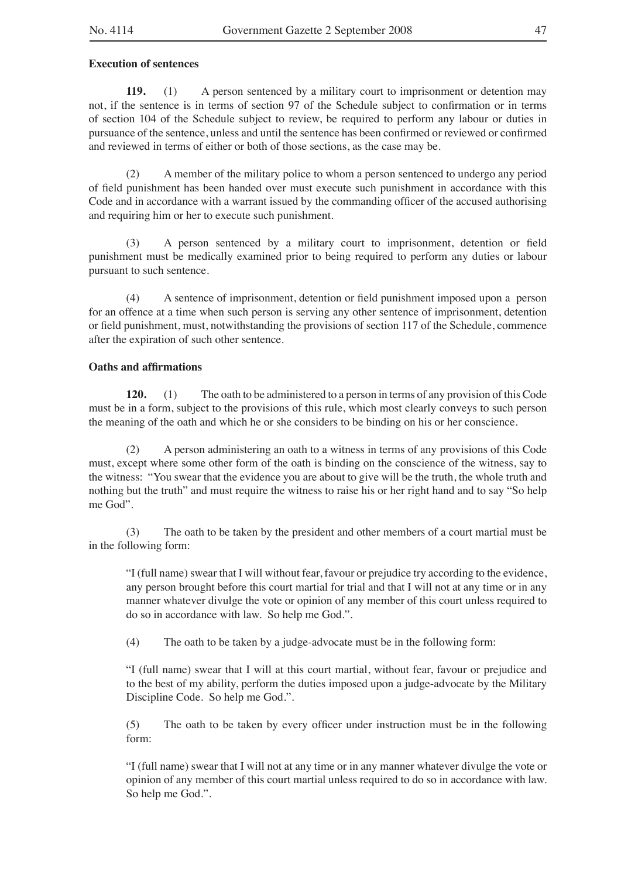#### **Execution of sentences**

**119.** (1) A person sentenced by a military court to imprisonment or detention may not, if the sentence is in terms of section 97 of the Schedule subject to confirmation or in terms of section 104 of the Schedule subject to review, be required to perform any labour or duties in pursuance of the sentence, unless and until the sentence has been confirmed or reviewed or confirmed and reviewed in terms of either or both of those sections, as the case may be.

(2) A member of the military police to whom a person sentenced to undergo any period of field punishment has been handed over must execute such punishment in accordance with this Code and in accordance with a warrant issued by the commanding officer of the accused authorising and requiring him or her to execute such punishment.

(3) A person sentenced by a military court to imprisonment, detention or field punishment must be medically examined prior to being required to perform any duties or labour pursuant to such sentence.

(4) A sentence of imprisonment, detention or field punishment imposed upon a person for an offence at a time when such person is serving any other sentence of imprisonment, detention or field punishment, must, notwithstanding the provisions of section 117 of the Schedule, commence after the expiration of such other sentence.

## **Oaths and affirmations**

**120.** (1) The oath to be administered to a person in terms of any provision of this Code must be in a form, subject to the provisions of this rule, which most clearly conveys to such person the meaning of the oath and which he or she considers to be binding on his or her conscience.

(2) A person administering an oath to a witness in terms of any provisions of this Code must, except where some other form of the oath is binding on the conscience of the witness, say to the witness: "You swear that the evidence you are about to give will be the truth, the whole truth and nothing but the truth" and must require the witness to raise his or her right hand and to say "So help me God".

(3) The oath to be taken by the president and other members of a court martial must be in the following form:

"I (full name) swear that I will without fear, favour or prejudice try according to the evidence, any person brought before this court martial for trial and that I will not at any time or in any manner whatever divulge the vote or opinion of any member of this court unless required to do so in accordance with law. So help me God.".

(4) The oath to be taken by a judge-advocate must be in the following form:

"I (full name) swear that I will at this court martial, without fear, favour or prejudice and to the best of my ability, perform the duties imposed upon a judge-advocate by the Military Discipline Code. So help me God.".

(5) The oath to be taken by every officer under instruction must be in the following form:

"I (full name) swear that I will not at any time or in any manner whatever divulge the vote or opinion of any member of this court martial unless required to do so in accordance with law. So help me God.".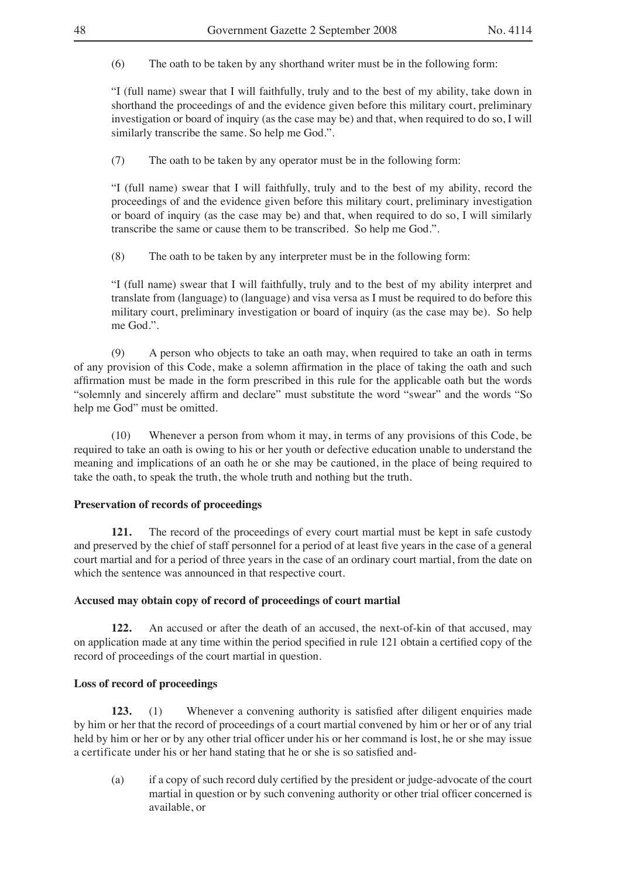(6) The oath to be taken by any shorthand writer must be in the following form:

"I (full name) swear that I will faithfully, truly and to the best of my ability, take down in shorthand the proceedings of and the evidence given before this military court, preliminary investigation or board of inquiry (as the case may be) and that, when required to do so, I will similarly transcribe the same. So help me God.".

(7) The oath to be taken by any operator must be in the following form:

"I (full name) swear that I will faithfully, truly and to the best of my ability, record the proceedings of and the evidence given before this military court, preliminary investigation or board of inquiry (as the case may be) and that, when required to do so, I will similarly transcribe the same or cause them to be transcribed. So help me God.".

(8) The oath to be taken by any interpreter must be in the following form:

"I (full name) swear that I will faithfully, truly and to the best of my ability interpret and translate from (language) to (language) and visa versa as I must be required to do before this military court, preliminary investigation or board of inquiry (as the case may be). So help me God.".

(9) A person who objects to take an oath may, when required to take an oath in terms of any provision of this Code, make a solemn affirmation in the place of taking the oath and such affirmation must be made in the form prescribed in this rule for the applicable oath but the words "solemnly and sincerely affirm and declare" must substitute the word "swear" and the words "So help me God" must be omitted.

(10) Whenever a person from whom it may, in terms of any provisions of this Code, be required to take an oath is owing to his or her youth or defective education unable to understand the meaning and implications of an oath he or she may be cautioned, in the place of being required to take the oath, to speak the truth, the whole truth and nothing but the truth.

## **Preservation of records of proceedings**

**121.** The record of the proceedings of every court martial must be kept in safe custody and preserved by the chief of staff personnel for a period of at least five years in the case of a general court martial and for a period of three years in the case of an ordinary court martial, from the date on which the sentence was announced in that respective court.

## **Accused may obtain copy of record of proceedings of court martial**

**122.** An accused or after the death of an accused, the next-of-kin of that accused, may on application made at any time within the period specified in rule 121 obtain a certified copy of the record of proceedings of the court martial in question.

## **Loss of record of proceedings**

**123.** (1) Whenever a convening authority is satisfied after diligent enquiries made by him or her that the record of proceedings of a court martial convened by him or her or of any trial held by him or her or by any other trial officer under his or her command is lost, he or she may issue a certificate under his or her hand stating that he or she is so satisfied and-

(a) if a copy of such record duly certified by the president or judge-advocate of the court martial in question or by such convening authority or other trial officer concerned is available, or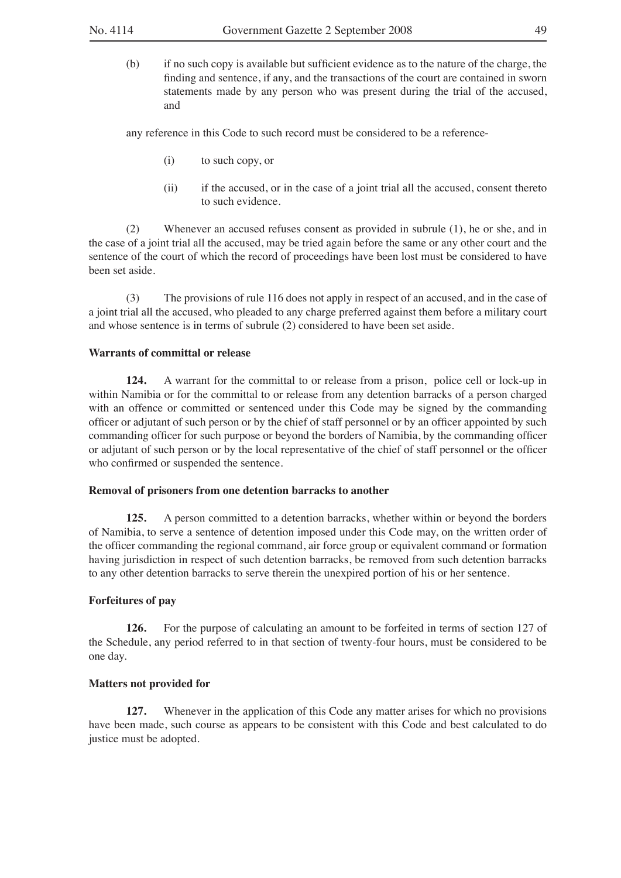(b) if no such copy is available but sufficient evidence as to the nature of the charge, the finding and sentence, if any, and the transactions of the court are contained in sworn statements made by any person who was present during the trial of the accused, and

any reference in this Code to such record must be considered to be a reference-

- (i) to such copy, or
- (ii) if the accused, or in the case of a joint trial all the accused, consent thereto to such evidence.

(2) Whenever an accused refuses consent as provided in subrule (1), he or she, and in the case of a joint trial all the accused, may be tried again before the same or any other court and the sentence of the court of which the record of proceedings have been lost must be considered to have been set aside.

(3) The provisions of rule 116 does not apply in respect of an accused, and in the case of a joint trial all the accused, who pleaded to any charge preferred against them before a military court and whose sentence is in terms of subrule (2) considered to have been set aside.

## **Warrants of committal or release**

**124.** A warrant for the committal to or release from a prison, police cell or lock-up in within Namibia or for the committal to or release from any detention barracks of a person charged with an offence or committed or sentenced under this Code may be signed by the commanding officer or adjutant of such person or by the chief of staff personnel or by an officer appointed by such commanding officer for such purpose or beyond the borders of Namibia, by the commanding officer or adjutant of such person or by the local representative of the chief of staff personnel or the officer who confirmed or suspended the sentence.

#### **Removal of prisoners from one detention barracks to another**

**125.** A person committed to a detention barracks, whether within or beyond the borders of Namibia, to serve a sentence of detention imposed under this Code may, on the written order of the officer commanding the regional command, air force group or equivalent command or formation having jurisdiction in respect of such detention barracks, be removed from such detention barracks to any other detention barracks to serve therein the unexpired portion of his or her sentence.

## **Forfeitures of pay**

**126.** For the purpose of calculating an amount to be forfeited in terms of section 127 of the Schedule, any period referred to in that section of twenty-four hours, must be considered to be one day.

#### **Matters not provided for**

**127.** Whenever in the application of this Code any matter arises for which no provisions have been made, such course as appears to be consistent with this Code and best calculated to do justice must be adopted.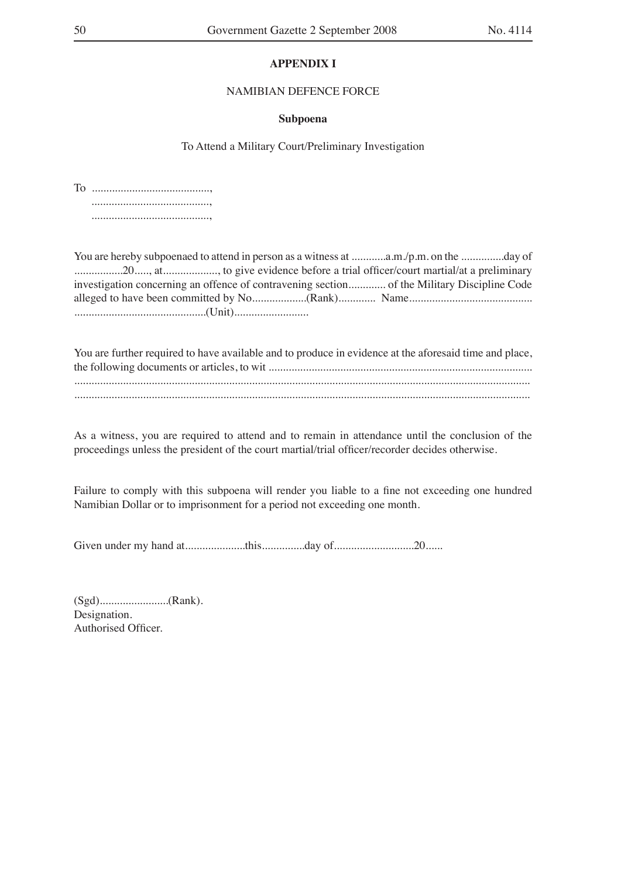## **APPENDIX I**

## NAMIBIAN DEFENCE FORCE

#### **Subpoena**

To Attend a Military Court/Preliminary Investigation

To ........................................., ........................................., .........................................,

You are hereby subpoenaed to attend in person as a witness at .............a.m./p.m. on the ...............day of .................20....., at..................., to give evidence before a trial officer/court martial/at a preliminary investigation concerning an offence of contravening section............. of the Military Discipline Code alleged to have been committed by No...................(Rank)............. Name........................................... ..............................................(Unit)..........................

| You are further required to have available and to produce in evidence at the aforesaid time and place, |
|--------------------------------------------------------------------------------------------------------|
|                                                                                                        |
|                                                                                                        |
|                                                                                                        |
|                                                                                                        |

As a witness, you are required to attend and to remain in attendance until the conclusion of the proceedings unless the president of the court martial/trial officer/recorder decides otherwise.

Failure to comply with this subpoena will render you liable to a fine not exceeding one hundred Namibian Dollar or to imprisonment for a period not exceeding one month.

Given under my hand at.....................this...............day of............................20......

(Sgd)........................(Rank). Designation. Authorised Officer.